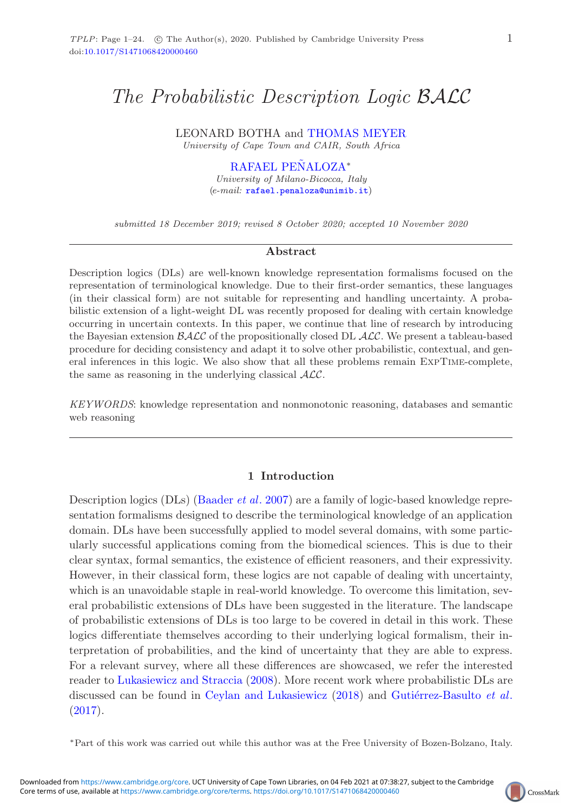# *The Probabilistic Description Logic* BALC

LEONARD BOTHA and [THOMAS MEYER](https://orcid.org/0000-0003-2204-6969)

*University of Cape Town and CAIR, South Africa*

[RAFAEL PENALOZA](https://orcid.org/0000-0002-2693-5790)<sup>\*</sup>

*University of Milano-Bicocca, Italy* (*e-mail:* [rafael.penaloza@unimib.it](mailto:rafael.penaloza@unimib.it))

*submitted 18 December 2019; revised 8 October 2020; accepted 10 November 2020*

## **Abstract**

Description logics (DLs) are well-known knowledge representation formalisms focused on the representation of terminological knowledge. Due to their first-order semantics, these languages (in their classical form) are not suitable for representing and handling uncertainty. A probabilistic extension of a light-weight DL was recently proposed for dealing with certain knowledge occurring in uncertain contexts. In this paper, we continue that line of research by introducing the Bayesian extension *BALC* of the propositionally closed DL *ALC*. We present a tableau-based procedure for deciding consistency and adapt it to solve other probabilistic, contextual, and general inferences in this logic. We also show that all these problems remain ExpTime-complete, the same as reasoning in the underlying classical *ALC*.

*KEYWORDS*: knowledge representation and nonmonotonic reasoning, databases and semantic web reasoning

#### **1 Introduction**

Description logics (DLs) [\(Baader](#page-21-0) *et al*. [2007\)](#page-21-0) are a family of logic-based knowledge representation formalisms designed to describe the terminological knowledge of an application domain. DLs have been successfully applied to model several domains, with some particularly successful applications coming from the biomedical sciences. This is due to their clear syntax, formal semantics, the existence of efficient reasoners, and their expressivity. However, in their classical form, these logics are not capable of dealing with uncertainty, which is an unavoidable staple in real-world knowledge. To overcome this limitation, several probabilistic extensions of DLs have been suggested in the literature. The landscape of probabilistic extensions of DLs is too large to be covered in detail in this work. These logics differentiate themselves according to their underlying logical formalism, their interpretation of probabilities, and the kind of uncertainty that they are able to express. For a relevant survey, where all these differences are showcased, we refer the interested reader to [Lukasiewicz and Straccia](#page-23-0) [\(2008\)](#page-23-0). More recent work where probabilistic DLs are discussed can be found in [Ceylan and Lukasiewicz](#page-22-0) [\(2018\)](#page-22-0) and Gutiérrez-Basulto *et al*.  $(2017).$  $(2017).$ 

∗Part of this work was carried out while this author was at the Free University of Bozen-Bolzano, Italy.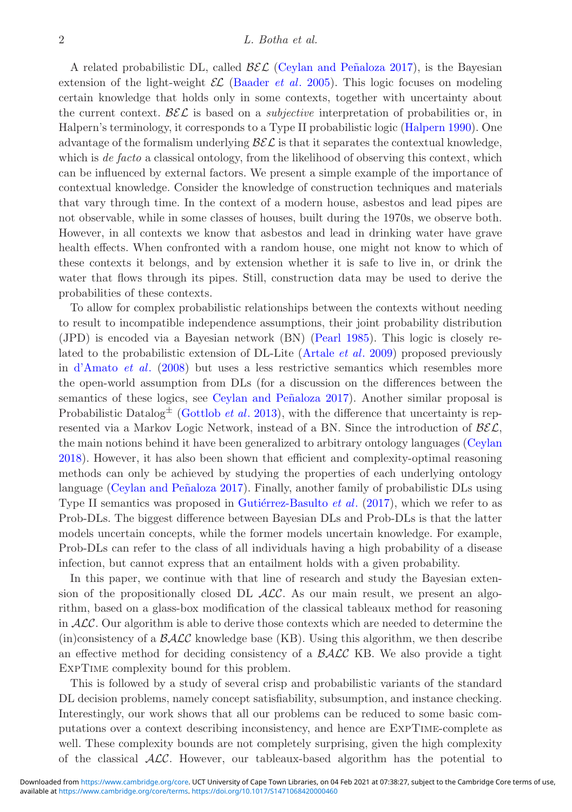#### 2 *L. Botha et al.*

A related probabilistic DL, called  $\mathcal{BEL}$  (Ceylan and Peñaloza 2017), is the Bayesian extension of the light-weight  $\mathcal{EL}$  [\(Baader](#page-21-1) *et al.* [2005\)](#page-21-1). This logic focuses on modeling certain knowledge that holds only in some contexts, together with uncertainty about the current context.  $\mathcal{B}\mathcal{E}\mathcal{L}$  is based on a *subjective* interpretation of probabilities or, in Halpern's terminology, it corresponds to a Type II probabilistic logic [\(Halpern 1990](#page-22-3)). One advantage of the formalism underlying  $\mathcal{B}\mathcal{E}\mathcal{L}$  is that it separates the contextual knowledge, which is *de facto* a classical ontology, from the likelihood of observing this context, which can be influenced by external factors. We present a simple example of the importance of contextual knowledge. Consider the knowledge of construction techniques and materials that vary through time. In the context of a modern house, asbestos and lead pipes are not observable, while in some classes of houses, built during the 1970s, we observe both. However, in all contexts we know that asbestos and lead in drinking water have grave health effects. When confronted with a random house, one might not know to which of these contexts it belongs, and by extension whether it is safe to live in, or drink the water that flows through its pipes. Still, construction data may be used to derive the probabilities of these contexts.

To allow for complex probabilistic relationships between the contexts without needing to result to incompatible independence assumptions, their joint probability distribution (JPD) is encoded via a Bayesian network (BN) [\(Pearl 1985](#page-23-1)). This logic is closely related to the probabilistic extension of DL-Lite [\(Artale](#page-21-2) *et al*. [2009\)](#page-21-2) proposed previously in [d'Amato](#page-22-4) *et al*. [\(2008](#page-22-4)) but uses a less restrictive semantics which resembles more the open-world assumption from DLs (for a discussion on the differences between the semantics of these logics, see Ceylan and Peñaloza 2017). Another similar proposal is Probabilistic Datalog<sup> $\pm$ </sup> [\(Gottlob](#page-22-5) *et al.* [2013\)](#page-22-5), with the difference that uncertainty is represented via a Markov Logic Network, instead of a BN. Since the introduction of  $\beta \mathcal{E} \mathcal{L}$ , the main notions behind it have been generalized to arbitrary ontology languages [\(Ceylan](#page-22-6) [2018](#page-22-6)). However, it has also been shown that efficient and complexity-optimal reasoning methods can only be achieved by studying the properties of each underlying ontology language (Ceylan and Peñaloza 2017). Finally, another family of probabilistic DLs using Type II semantics was proposed in Gutiérrez-Basulto *et al.* [\(2017](#page-22-1)), which we refer to as Prob-DLs. The biggest difference between Bayesian DLs and Prob-DLs is that the latter models uncertain concepts, while the former models uncertain knowledge. For example, Prob-DLs can refer to the class of all individuals having a high probability of a disease infection, but cannot express that an entailment holds with a given probability.

In this paper, we continue with that line of research and study the Bayesian extension of the propositionally closed DL  $ALC$ . As our main result, we present an algorithm, based on a glass-box modification of the classical tableaux method for reasoning in  $ALC$ . Our algorithm is able to derive those contexts which are needed to determine the (in)consistency of a  $\beta$ ALC knowledge base (KB). Using this algorithm, we then describe an effective method for deciding consistency of a  $\beta$ ALC KB. We also provide a tight ExpTime complexity bound for this problem.

This is followed by a study of several crisp and probabilistic variants of the standard DL decision problems, namely concept satisfiability, subsumption, and instance checking. Interestingly, our work shows that all our problems can be reduced to some basic computations over a context describing inconsistency, and hence are ExpTime-complete as well. These complexity bounds are not completely surprising, given the high complexity of the classical  $\mathcal{ALC}$ . However, our tableaux-based algorithm has the potential to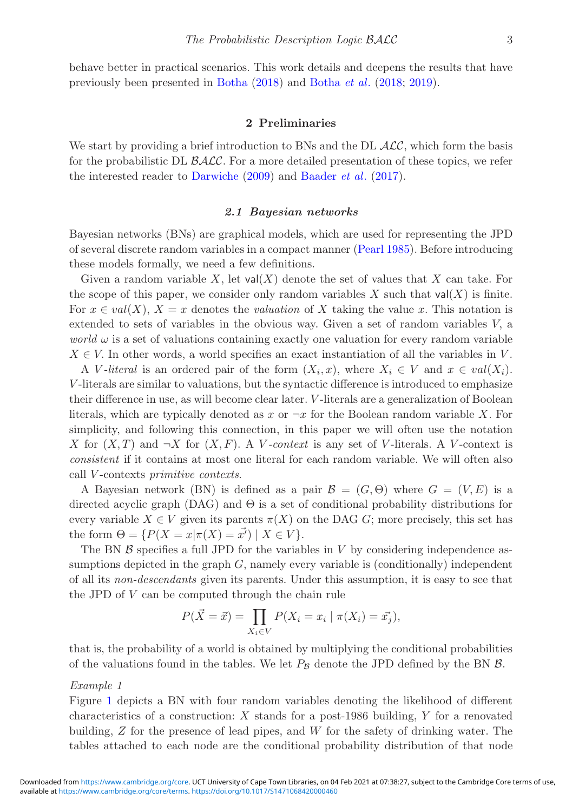behave better in practical scenarios. This work details and deepens the results that have previously been presented in [Botha](#page-22-7) [\(2018\)](#page-22-7) and [Botha](#page-22-8) *et al*. [\(2018;](#page-22-8) [2019\)](#page-22-9).

#### **2 Preliminaries**

We start by providing a brief introduction to BNs and the DL  $\mathcal{ALC}$ , which form the basis for the probabilistic DL  $\beta$ ALC. For a more detailed presentation of these topics, we refer the interested reader to [Darwiche](#page-22-10) [\(2009\)](#page-22-10) and [Baader](#page-21-3) *et al*. [\(2017\)](#page-21-3).

## *2.1 Bayesian networks*

Bayesian networks (BNs) are graphical models, which are used for representing the JPD of several discrete random variables in a compact manner [\(Pearl 1985](#page-23-1)). Before introducing these models formally, we need a few definitions.

Given a random variable X, let  $val(X)$  denote the set of values that X can take. For the scope of this paper, we consider only random variables X such that  $val(X)$  is finite. For  $x \in val(X)$ ,  $X = x$  denotes the *valuation* of X taking the value x. This notation is extended to sets of variables in the obvious way. Given a set of random variables V, a *world*  $\omega$  is a set of valuations containing exactly one valuation for every random variable  $X \in V$ . In other words, a world specifies an exact instantiation of all the variables in V.

A V-literal is an ordered pair of the form  $(X_i, x)$ , where  $X_i \in V$  and  $x \in val(X_i)$ . V -literals are similar to valuations, but the syntactic difference is introduced to emphasize their difference in use, as will become clear later. V -literals are a generalization of Boolean literals, which are typically denoted as x or  $\neg x$  for the Boolean random variable X. For simplicity, and following this connection, in this paper we will often use the notation X for  $(X, T)$  and  $\neg X$  for  $(X, F)$ . A V-context is any set of V-literals. A V-context is *consistent* if it contains at most one literal for each random variable. We will often also call V -contexts *primitive contexts*.

A Bayesian network (BN) is defined as a pair  $\mathcal{B} = (G, \Theta)$  where  $G = (V, E)$  is a directed acyclic graph  $(DAG)$  and  $\Theta$  is a set of conditional probability distributions for every variable  $X \in V$  given its parents  $\pi(X)$  on the DAG G; more precisely, this set has the form  $\Theta = \{ P(X = x | \pi(X) = \vec{x'}) \mid X \in V \}.$ 

The BN  $\beta$  specifies a full JPD for the variables in V by considering independence assumptions depicted in the graph  $G$ , namely every variable is (conditionally) independent of all its *non-descendants* given its parents. Under this assumption, it is easy to see that the JPD of V can be computed through the chain rule

$$
P(\vec{X} = \vec{x}) = \prod_{X_i \in V} P(X_i = x_i \mid \pi(X_i) = \vec{x_j}),
$$

that is, the probability of a world is obtained by multiplying the conditional probabilities of the valuations found in the tables. We let  $P_B$  denote the JPD defined by the BN  $\beta$ .

#### *Example 1*

Figure [1](#page-3-0) depicts a BN with four random variables denoting the likelihood of different characteristics of a construction:  $X$  stands for a post-1986 building,  $Y$  for a renovated building, Z for the presence of lead pipes, and W for the safety of drinking water. The tables attached to each node are the conditional probability distribution of that node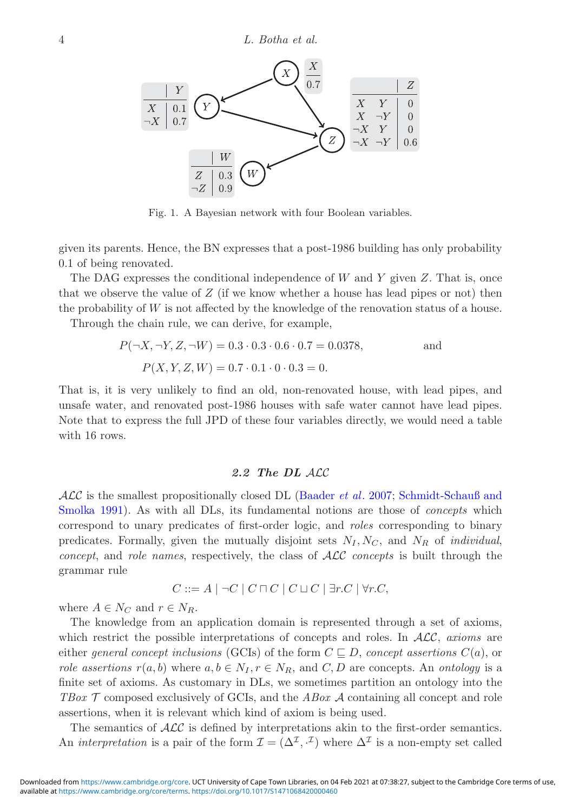<span id="page-3-0"></span>

Fig. 1. A Bayesian network with four Boolean variables.

given its parents. Hence, the BN expresses that a post-1986 building has only probability 0.1 of being renovated.

The DAG expresses the conditional independence of  $W$  and  $Y$  given  $Z$ . That is, once that we observe the value of  $Z$  (if we know whether a house has lead pipes or not) then the probability of W is not affected by the knowledge of the renovation status of a house.

Through the chain rule, we can derive, for example,

$$
P(\neg X, \neg Y, Z, \neg W) = 0.3 \cdot 0.3 \cdot 0.6 \cdot 0.7 = 0.0378,
$$
 and  

$$
P(X, Y, Z, W) = 0.7 \cdot 0.1 \cdot 0 \cdot 0.3 = 0.
$$

That is, it is very unlikely to find an old, non-renovated house, with lead pipes, and unsafe water, and renovated post-1986 houses with safe water cannot have lead pipes. Note that to express the full JPD of these four variables directly, we would need a table with 16 rows.

## *2.2 The DL* ALC

ALC is [the smallest propositionally closed DL](#page-23-2) [\(Baader](#page-21-0) *et al*. [2007](#page-21-0); Schmidt-Schauß and Smolka [1991](#page-23-2)). As with all DLs, its fundamental notions are those of *concepts* which correspond to unary predicates of first-order logic, and *roles* corresponding to binary predicates. Formally, given the mutually disjoint sets  $N_I, N_C$ , and  $N_R$  of *individual*, *concept*, and *role names*, respectively, the class of ALC *concepts* is built through the grammar rule

$$
C ::= A \mid \neg C \mid C \sqcap C \mid C \sqcup C \mid \exists r.C \mid \forall r.C,
$$

where  $A \in N_C$  and  $r \in N_R$ .

The knowledge from an application domain is represented through a set of axioms, which restrict the possible interpretations of concepts and roles. In ALC, *axioms* are either *general concept inclusions* (GCIs) of the form  $C \sqsubseteq D$ , *concept assertions*  $C(a)$ , or *role assertions*  $r(a, b)$  where  $a, b \in N_I, r \in N_R$ , and  $C, D$  are concepts. An *ontology* is a finite set of axioms. As customary in DLs, we sometimes partition an ontology into the *TBox* T composed exclusively of GCIs, and the *ABox* A containing all concept and role assertions, when it is relevant which kind of axiom is being used.

The semantics of  $\mathcal{ALC}$  is defined by interpretations akin to the first-order semantics. An *interpretation* is a pair of the form  $\mathcal{I} = (\Delta^{\mathcal{I}}, \cdot^{\mathcal{I}})$  where  $\Delta^{\mathcal{I}}$  is a non-empty set called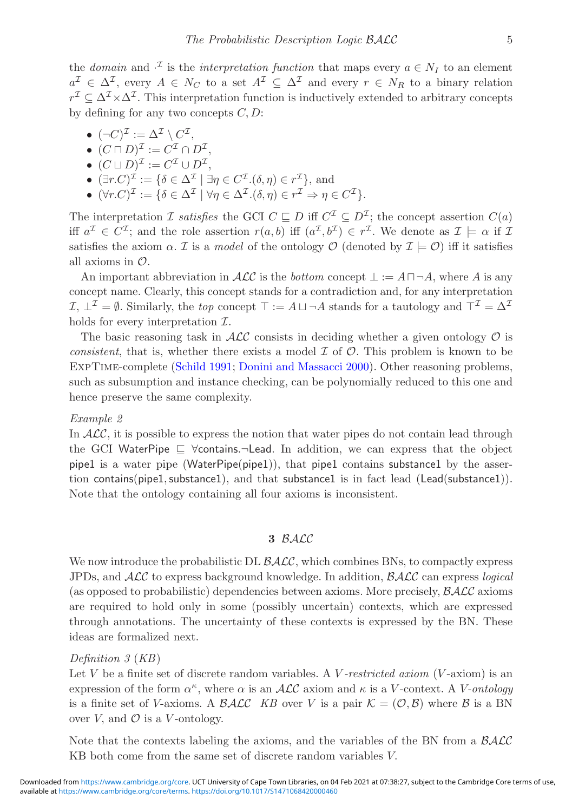the *domain* and  $\cdot^{\mathcal{I}}$  is the *interpretation function* that maps every  $a \in N_I$  to an element  $a^{\mathcal{I}} \in \Delta^{\mathcal{I}}$ , every  $A \in N_C$  to a set  $A^{\mathcal{I}} \subseteq \Delta^{\mathcal{I}}$  and every  $r \in N_R$  to a binary relation  $r^{\mathcal{I}} \subset \Delta^{\mathcal{I}} \times \Delta^{\mathcal{I}}$ . This interpretation function is inductively extended to arbitrary concepts by defining for any two concepts  $C, D$ :

- $(\neg C)^{\mathcal{I}} := \Delta^{\mathcal{I}} \setminus C^{\mathcal{I}}$ ,
- $(C \sqcap D)^{\mathcal{I}} := C^{\mathcal{I}} \cap D^{\mathcal{I}}$ .
- $(C \sqcup D)^{\mathcal{I}} := C^{\mathcal{I}} \cup D^{\mathcal{I}}$ ,
- $(\exists r.C)^{\mathcal{I}} := {\delta \in \Delta^{\mathcal{I}} \mid \exists \eta \in C^{\mathcal{I}}.(\delta, \eta) \in r^{\mathcal{I}}},$  and
- $(\forall r.C)^{\mathcal{I}} := {\delta \in \Delta^{\mathcal{I}} \mid \forall \eta \in \Delta^{\mathcal{I}}.(\delta, \eta) \in r^{\mathcal{I}} \Rightarrow \eta \in C^{\mathcal{I}}}.$

The interpretation  $\mathcal I$  *satisfies* the GCI  $C \subseteq D$  iff  $C^{\mathcal I} \subseteq D^{\mathcal I}$ ; the concept assertion  $C(a)$ iff  $a^{\mathcal{I}} \in C^{\mathcal{I}}$ ; and the role assertion  $r(a, b)$  iff  $(a^{\mathcal{I}}, b^{\mathcal{I}}) \in r^{\mathcal{I}}$ . We denote as  $\mathcal{I} \models \alpha$  if  $\mathcal{I}$ satisfies the axiom  $\alpha$ . *I* is a *model* of the ontology *O* (denoted by  $\mathcal{I} \models \mathcal{O}$ ) iff it satisfies all axioms in O.

An important abbreviation in  $\mathcal{ALC}$  is the *bottom* concept  $\bot := A \sqcap \neg A$ , where A is any concept name. Clearly, this concept stands for a contradiction and, for any interpretation  $\mathcal{I}, \perp^{\mathcal{I}} = \emptyset$ . Similarly, the *top* concept  $\top := A \sqcup \neg A$  stands for a tautology and  $\top^{\mathcal{I}} = \Delta^{\mathcal{I}}$ holds for every interpretation  $\mathcal{I}.$ 

The basic reasoning task in  $\mathcal{ALC}$  consists in deciding whether a given ontology  $\mathcal O$  is *consistent*, that is, whether there exists a model  $\mathcal I$  of  $\mathcal O$ . This problem is known to be ExpTime-complete [\(Schild 1991](#page-23-3); [Donini and Massacci 2000](#page-22-11)). Other reasoning problems, such as subsumption and instance checking, can be polynomially reduced to this one and hence preserve the same complexity.

#### *Example 2*

In  $ALC$ , it is possible to express the notion that water pipes do not contain lead through the GCI WaterPipe  $\sqsubseteq$   $\forall$ contains. $\neg$ Lead. In addition, we can express that the object pipe1 is a water pipe (WaterPipe(pipe1)), that pipe1 contains substance1 by the assertion contains(pipe1, substance1), and that substance1 is in fact lead (Lead(substance1)). Note that the ontology containing all four axioms is inconsistent.

## **3** BALC

We now introduce the probabilistic DL  $\mathcal{BALC}$ , which combines BNs, to compactly express JPDs, and ALC to express background knowledge. In addition, BALC can express *logical* (as opposed to probabilistic) dependencies between axioms. More precisely,  $\beta \mathcal{ALC}$  axioms are required to hold only in some (possibly uncertain) contexts, which are expressed through annotations. The uncertainty of these contexts is expressed by the BN. These ideas are formalized next.

## *Definition 3* (*KB*)

Let V be a finite set of discrete random variables. A V-restricted axiom (V-axiom) is an expression of the form  $\alpha^{\kappa}$ , where  $\alpha$  is an ALC axiom and  $\kappa$  is a V-context. A V-ontology is a finite set of V-axioms. A BALC *KB* over V is a pair  $\mathcal{K} = (\mathcal{O}, \mathcal{B})$  where B is a BN over V, and  $\mathcal O$  is a V-ontology.

Note that the contexts labeling the axioms, and the variables of the BN from a  $\beta \mathcal{ALC}$ KB both come from the same set of discrete random variables V.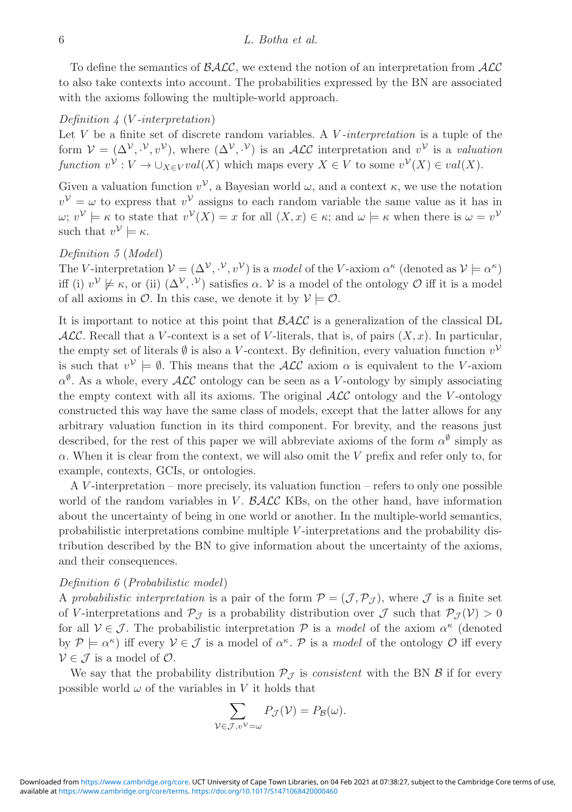To define the semantics of  $\mathcal{BALC}$ , we extend the notion of an interpretation from  $\mathcal{ALC}$ to also take contexts into account. The probabilities expressed by the BN are associated with the axioms following the multiple-world approach.

## *Definition 4* (V *-interpretation*)

Let V be a finite set of discrete random variables. A V *-interpretation* is a tuple of the form  $V = (\Delta^V, V, v^V)$ , where  $({\Delta}^V, V)$  is an ALC interpretation and  $v^V$  is a *valuation function*  $v^{\mathcal{V}}: V \to \bigcup_{X \in V} val(X)$  which maps every  $X \in V$  to some  $v^{\mathcal{V}}(X) \in val(X)$ .

Given a valuation function  $v^{\mathcal{V}}$ , a Bayesian world  $\omega$ , and a context  $\kappa$ , we use the notation  $v^{\mathcal{V}} = \omega$  to express that  $v^{\mathcal{V}}$  assigns to each random variable the same value as it has in  $\omega; v^{\mathcal{V}} \models \kappa$  to state that  $v^{\mathcal{V}}(X) = x$  for all  $(X, x) \in \kappa$ ; and  $\omega \models \kappa$  when there is  $\omega = v^{\mathcal{V}}$ such that  $v^{\mathcal{V}} \models \kappa$ .

# <span id="page-5-0"></span>*Definition 5* (*Model*)

The V-interpretation  $V = (\Delta^V, \cdot^V, v^V)$  is a *model* of the V-axiom  $\alpha^{\kappa}$  (denoted as  $V \models \alpha^{\kappa}$ ) iff (i)  $v^{\mathcal{V}} \not\models \kappa$ , or (ii)  $(\Delta^{\mathcal{V}}, \cdot^{\mathcal{V}})$  satisfies  $\alpha$ .  $\mathcal{V}$  is a model of the ontology  $\mathcal{O}$  iff it is a model of all axioms in  $\mathcal{O}$ . In this case, we denote it by  $\mathcal{V} \models \mathcal{O}$ .

It is important to notice at this point that  $\beta \mathcal{ALC}$  is a generalization of the classical DL  $\mathcal{ALC}$ . Recall that a V-context is a set of V-literals, that is, of pairs  $(X, x)$ . In particular, the empty set of literals  $\emptyset$  is also a V-context. By definition, every valuation function  $v^{\mathcal{V}}$ is such that  $v^{\mathcal{V}} \models \emptyset$ . This means that the  $\mathcal{ALC}$  axiom  $\alpha$  is equivalent to the V-axiom  $\alpha^{\emptyset}$ . As a whole, every ALC ontology can be seen as a V-ontology by simply associating the empty context with all its axioms. The original  $\mathcal{ALC}$  ontology and the V-ontology constructed this way have the same class of models, except that the latter allows for any arbitrary valuation function in its third component. For brevity, and the reasons just described, for the rest of this paper we will abbreviate axioms of the form  $\alpha^{\emptyset}$  simply as  $\alpha$ . When it is clear from the context, we will also omit the V prefix and refer only to, for example, contexts, GCIs, or ontologies.

A V -interpretation – more precisely, its valuation function – refers to only one possible world of the random variables in  $V$ .  $\beta$ ALC KBs, on the other hand, have information about the uncertainty of being in one world or another. In the multiple-world semantics, probabilistic interpretations combine multiple V -interpretations and the probability distribution described by the BN to give information about the uncertainty of the axioms, and their consequences.

## *Definition 6* (*Probabilistic model*)

A *probabilistic interpretation* is a pair of the form  $\mathcal{P} = (\mathcal{J}, \mathcal{P}_{\mathcal{J}})$ , where  $\mathcal{J}$  is a finite set of V-interpretations and  $\mathcal{P}_{\mathcal{J}}$  is a probability distribution over  $\mathcal{J}$  such that  $\mathcal{P}_{\mathcal{J}}(\mathcal{V}) > 0$ for all  $V \in \mathcal{J}$ . The probabilistic interpretation  $\mathcal{P}$  is a *model* of the axiom  $\alpha^{\kappa}$  (denoted by  $\mathcal{P} \models \alpha^{\kappa}$  iff every  $\mathcal{V} \in \mathcal{J}$  is a model of  $\alpha^{\kappa}$ . P is a *model* of the ontology  $\mathcal{O}$  iff every  $V \in \mathcal{J}$  is a model of  $\mathcal{O}$ .

We say that the probability distribution  $P_{\mathcal{J}}$  is *consistent* with the BN  $\beta$  if for every possible world  $\omega$  of the variables in V it holds that

$$
\sum_{\mathcal{V}\in\mathcal{J},v^{\mathcal{V}}=\omega}P_{\mathcal{J}}(\mathcal{V})=P_{\mathcal{B}}(\omega).
$$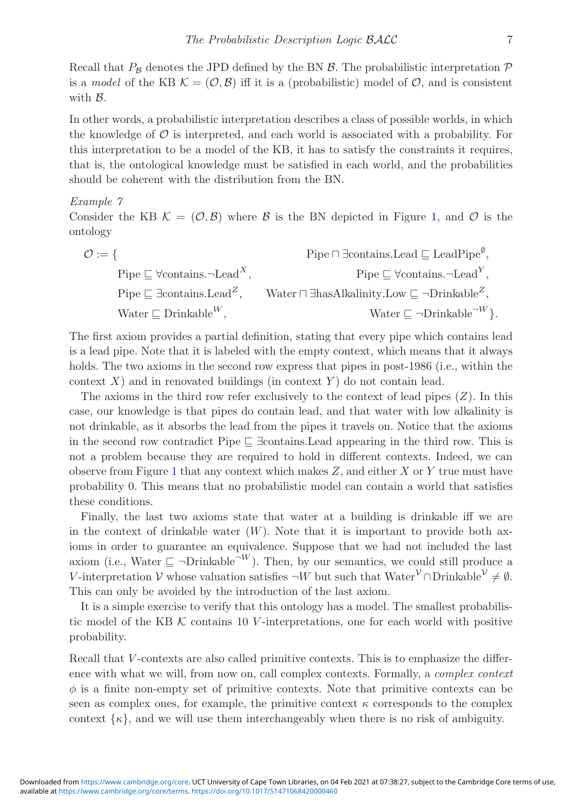Recall that  $P_B$  denotes the JPD defined by the BN  $\beta$ . The probabilistic interpretation  $\mathcal P$ is a *model* of the KB  $\mathcal{K} = (\mathcal{O}, \mathcal{B})$  iff it is a (probabilistic) model of  $\mathcal{O}$ , and is consistent with  $\beta$ .

In other words, a probabilistic interpretation describes a class of possible worlds, in which the knowledge of  $\mathcal O$  is interpreted, and each world is associated with a probability. For this interpretation to be a model of the KB, it has to satisfy the constraints it requires, that is, the ontological knowledge must be satisfied in each world, and the probabilities should be coherent with the distribution from the BN.

#### <span id="page-6-0"></span>*Example 7*

Consider the KB  $\mathcal{K} = (\mathcal{O}, \mathcal{B})$  where  $\mathcal{B}$  is the BN depicted in Figure [1,](#page-3-0) and  $\mathcal{O}$  is the ontology

$$
\mathcal{O} := \{ \begin{aligned} \text{pipe} \sqsubseteq \text{Vcontains}.\text{Head} &\sqsubseteq \text{leadPipe}^{\emptyset}, \\ \text{Pipe} \sqsubseteq \text{Vcontains}.\text{Head}^X, &\text{Pipe} \sqsubseteq \text{Vcontains}.\text{Head}^Y, \\ \text{Pipe} \sqsubseteq \text{Icontains}.\text{Head}^Z, &\text{Water} \sqcap \text{Ihas}Alkalinity. \text{Low} \sqsubseteq \neg \text{Drinkable}^Z, \\ \text{Water} \sqsubseteq \text{Drinkable}^W, &\text{Water} \sqsubseteq \neg \text{Drinkable}^{\neg W} \}. \end{aligned}
$$

The first axiom provides a partial definition, stating that every pipe which contains lead is a lead pipe. Note that it is labeled with the empty context, which means that it always holds. The two axioms in the second row express that pipes in post-1986 (i.e., within the context  $X$ ) and in renovated buildings (in context  $Y$ ) do not contain lead.

The axioms in the third row refer exclusively to the context of lead pipes  $(Z)$ . In this case, our knowledge is that pipes do contain lead, and that water with low alkalinity is not drinkable, as it absorbs the lead from the pipes it travels on. Notice that the axioms in the second row contradict Pipe  $\sqsubseteq$   $\exists$ contains.Lead appearing in the third row. This is not a problem because they are required to hold in different contexts. Indeed, we can observe from Figure [1](#page-3-0) that any context which makes  $Z$ , and either  $X$  or  $Y$  true must have probability 0. This means that no probabilistic model can contain a world that satisfies these conditions.

Finally, the last two axioms state that water at a building is drinkable iff we are in the context of drinkable water  $(W)$ . Note that it is important to provide both axioms in order to guarantee an equivalence. Suppose that we had not included the last axiom (i.e., Water  $\subseteq \neg \text{Drinkable}^{\neg W}$ ). Then, by our semantics, we could still produce a V-interpretation V whose valuation satisfies  $\neg W$  but such that Water<sup>V</sup> ∩Drinkable<sup>V</sup>  $\neq \emptyset$ . This can only be avoided by the introduction of the last axiom.

It is a simple exercise to verify that this ontology has a model. The smallest probabilistic model of the KB  $K$  contains 10 V-interpretations, one for each world with positive probability.

Recall that V-contexts are also called primitive contexts. This is to emphasize the difference with what we will, from now on, call complex contexts. Formally, a *complex context*  $\phi$  is a finite non-empty set of primitive contexts. Note that primitive contexts can be seen as complex ones, for example, the primitive context  $\kappa$  corresponds to the complex context  $\{\kappa\}$ , and we will use them interchangeably when there is no risk of ambiguity.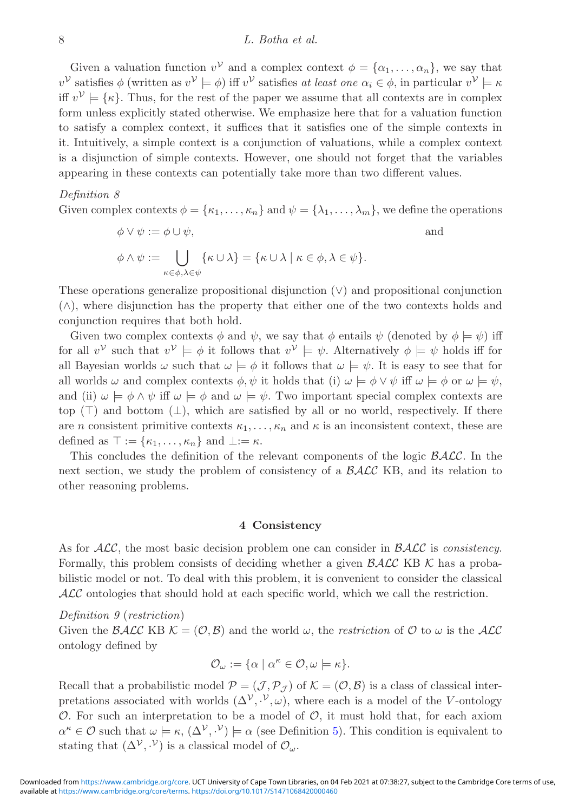#### 8 *L. Botha et al.*

Given a valuation function  $v^{\gamma}$  and a complex context  $\phi = {\alpha_1, \ldots, \alpha_n}$ , we say that  $v^{\mathcal{V}}$  satisfies  $\phi$  (written as  $v^{\mathcal{V}} \models \phi$ ) iff  $v^{\mathcal{V}}$  satisfies *at least one*  $\alpha_i \in \phi$ , in particular  $v^{\mathcal{V}} \models \kappa$ iff  $v^{\mathcal{V}} \models {\kappa}$ . Thus, for the rest of the paper we assume that all contexts are in complex form unless explicitly stated otherwise. We emphasize here that for a valuation function to satisfy a complex context, it suffices that it satisfies one of the simple contexts in it. Intuitively, a simple context is a conjunction of valuations, while a complex context is a disjunction of simple contexts. However, one should not forget that the variables appearing in these contexts can potentially take more than two different values.

#### *Definition 8*

Given complex contexts  $\phi = {\kappa_1, \ldots, \kappa_n}$  and  $\psi = {\lambda_1, \ldots, \lambda_m}$ , we define the operations

$$
\phi \lor \psi := \phi \cup \psi,
$$
  
\n
$$
\phi \land \psi := \bigcup_{\kappa \in \phi, \lambda \in \psi} {\{\kappa \cup \lambda\}} = {\{\kappa \cup \lambda \mid \kappa \in \phi, \lambda \in \psi\}}.
$$

These operations generalize propositional disjunction  $(\vee)$  and propositional conjunction (∧), where disjunction has the property that either one of the two contexts holds and conjunction requires that both hold.

Given two complex contexts  $\phi$  and  $\psi$ , we say that  $\phi$  entails  $\psi$  (denoted by  $\phi \models \psi$ ) iff for all  $v^{\mathcal{V}}$  such that  $v^{\mathcal{V}} \models \phi$  it follows that  $v^{\mathcal{V}} \models \psi$ . Alternatively  $\phi \models \psi$  holds iff for all Bayesian worlds  $\omega$  such that  $\omega \models \phi$  it follows that  $\omega \models \psi$ . It is easy to see that for all worlds  $\omega$  and complex contexts  $\phi, \psi$  it holds that (i)  $\omega \models \phi \lor \psi$  iff  $\omega \models \phi$  or  $\omega \models \psi$ , and (ii)  $\omega \models \phi \land \psi$  iff  $\omega \models \phi$  and  $\omega \models \psi$ . Two important special complex contexts are top ( $\top$ ) and bottom ( $\bot$ ), which are satisfied by all or no world, respectively. If there are n consistent primitive contexts  $\kappa_1,\ldots,\kappa_n$  and  $\kappa$  is an inconsistent context, these are defined as  $\top := {\kappa_1, \ldots, \kappa_n}$  and  $\bot := \kappa$ .

This concludes the definition of the relevant components of the logic  $\beta \mathcal{ALC}$ . In the next section, we study the problem of consistency of a  $\beta$ ALC KB, and its relation to other reasoning problems.

## **4 Consistency**

<span id="page-7-0"></span>As for ALC, the most basic decision problem one can consider in BALC is *consistency*. Formally, this problem consists of deciding whether a given  $\mathcal{BALC}$  KB K has a probabilistic model or not. To deal with this problem, it is convenient to consider the classical ALC ontologies that should hold at each specific world, which we call the restriction.

## *Definition 9* (*restriction*)

Given the  $\mathcal{BALC}$  KB  $\mathcal{K} = (\mathcal{O}, \mathcal{B})$  and the world  $\omega$ , the *restriction* of  $\mathcal{O}$  to  $\omega$  is the  $\mathcal{ALC}$ ontology defined by

$$
\mathcal{O}_{\omega} := \{ \alpha \mid \alpha^{\kappa} \in \mathcal{O}, \omega \models \kappa \}.
$$

Recall that a probabilistic model  $\mathcal{P} = (\mathcal{J}, \mathcal{P}_{\mathcal{J}})$  of  $\mathcal{K} = (\mathcal{O}, \mathcal{B})$  is a class of classical interpretations associated with worlds  $(\Delta^{\mathcal{V}}, \cdot^{\mathcal{V}}, \omega)$ , where each is a model of the V-ontology O. For such an interpretation to be a model of  $\mathcal{O}$ , it must hold that, for each axiom  $\alpha^{\kappa} \in \mathcal{O}$  such that  $\omega \models \kappa, (\Delta^{\mathcal{V}}, {\mathcal{V}}) \models \alpha$  (see Definition [5\)](#page-5-0). This condition is equivalent to stating that  $(\Delta^{\mathcal{V}}, \cdot^{\mathcal{V}})$  is a classical model of  $\mathcal{O}_{\omega}$ .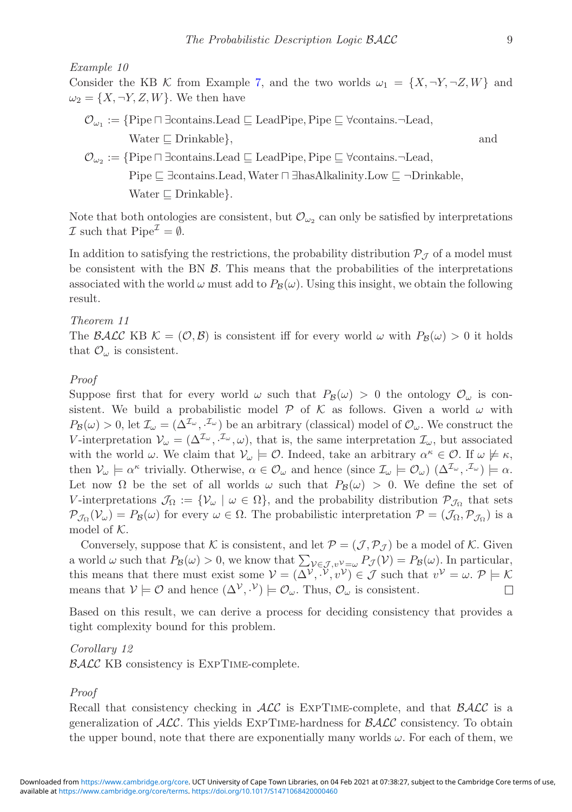*Example 10*

Consider the KB K from Example [7,](#page-6-0) and the two worlds  $\omega_1 = \{X, \neg Y, \neg Z, W\}$  and  $\omega_2 = \{X, \neg Y, Z, W\}$ . We then have

- $\mathcal{O}_{\omega_1} := \{ \text{Pipe} \sqcap \exists \text{contains} \sqcup \text{Read} \sqsubseteq \text{Leaderipe}, \text{Pipe} \sqsubseteq \forall \text{contains} \sqcap \text{Head}, \}$ Water  $\Box$  Drinkable }, and
- $\mathcal{O}_{\omega_2} := \{ \text{Pipe} \sqcap \exists \text{contains}. \text{lead} \sqsubseteq \text{lead} \text{Pipe}, \text{Pipe} \sqsubseteq \forall \text{contains}. \neg \text{lead}, \exists \text{lead}, \text{lead} \}$ Pipe  $\Box$  ∃contains.Lead, Water  $\Box$  ∃hasAlkalinity.Low  $\Box$  ¬Drinkable, Water  $\sqsubseteq$  Drinkable }.

Note that both ontologies are consistent, but  $\mathcal{O}_{\omega_2}$  can only be satisfied by interpretations  $\mathcal I$  such that  $\text{Pipe}^{\mathcal I} = \emptyset$ .

In addition to satisfying the restrictions, the probability distribution  $\mathcal{P}_{\mathcal{J}}$  of a model must be consistent with the BN  $\beta$ . This means that the probabilities of the interpretations associated with the world  $\omega$  must add to  $P_B(\omega)$ . Using this insight, we obtain the following result.

## <span id="page-8-0"></span>*Theorem 11*

The BALC KB  $\mathcal{K} = (\mathcal{O}, \mathcal{B})$  is consistent iff for every world  $\omega$  with  $P_{\mathcal{B}}(\omega) > 0$  it holds that  $\mathcal{O}_{\omega}$  is consistent.

## *Proof*

Suppose first that for every world  $\omega$  such that  $P_B(\omega) > 0$  the ontology  $\mathcal{O}_{\omega}$  is consistent. We build a probabilistic model P of K as follows. Given a world  $\omega$  with  $P_{\mathcal{B}}(\omega) > 0$ , let  $\mathcal{I}_{\omega} = (\Delta^{\mathcal{I}_{\omega}}, {\mathcal{I}_{\omega}})$  be an arbitrary (classical) model of  $\mathcal{O}_{\omega}$ . We construct the V-interpretation  $V_{\omega} = (\Delta^{\mathcal{I}_{\omega}}, \cdot^{\mathcal{I}_{\omega}}, \omega)$ , that is, the same interpretation  $\mathcal{I}_{\omega}$ , but associated with the world  $\omega$ . We claim that  $\mathcal{V}_{\omega} \models \mathcal{O}$ . Indeed, take an arbitrary  $\alpha^{\kappa} \in \mathcal{O}$ . If  $\omega \not\models \kappa$ , then  $V_{\omega} \models \alpha^{\kappa}$  trivially. Otherwise,  $\alpha \in \mathcal{O}_{\omega}$  and hence (since  $\mathcal{I}_{\omega} \models \mathcal{O}_{\omega}$ )  $(\Delta^{\mathcal{I}_{\omega}}, \cdot^{\mathcal{I}_{\omega}}) \models \alpha$ . Let now  $\Omega$  be the set of all worlds  $\omega$  such that  $P_B(\omega) > 0$ . We define the set of V-interpretations  $\mathcal{J}_{\Omega} := \{ \mathcal{V}_{\omega} \mid \omega \in \Omega \}$ , and the probability distribution  $\mathcal{P}_{\mathcal{J}_{\Omega}}$  that sets  $\mathcal{P}_{\mathcal{J}_{\Omega}}(\mathcal{V}_{\omega}) = P_{\mathcal{B}}(\omega)$  for every  $\omega \in \Omega$ . The probabilistic interpretation  $\mathcal{P} = (\mathcal{J}_{\Omega}, \mathcal{P}_{\mathcal{J}_{\Omega}})$  is a model of  $K$ .

Conversely, suppose that K is consistent, and let  $\mathcal{P} = (\mathcal{J}, \mathcal{P}_{\mathcal{J}})$  be a model of K. Given a world  $\omega$  such that  $P_B(\omega) > 0$ , we know that  $\sum_{\mathcal{V} \in \mathcal{J}, v^{\mathcal{V}} = \omega} P_{\mathcal{J}}(\mathcal{V}) = P_B(\omega)$ . In particular, this means that there must exist some  $V = (\Delta^{\mathcal{V}}, \Psi, v^{\mathcal{V}}) \in \mathcal{J}$  such that  $v^{\mathcal{V}} = \omega$ .  $\mathcal{P} \models \mathcal{K}$ means that  $V \models \mathcal{O}$  and hence  $(\Delta^V, V) \models \mathcal{O}_{\omega}$ . Thus,  $\mathcal{O}_{\omega}$  is consistent.  $\Box$ 

<span id="page-8-1"></span>Based on this result, we can derive a process for deciding consistency that provides a tight complexity bound for this problem.

*Corollary 12*

BALC KB consistency is ExpTime-complete.

#### *Proof*

Recall that consistency checking in ALC is EXPTIME-complete, and that BALC is a generalization of  $\mathcal{ALC}$ . This yields EXPTIME-hardness for  $\mathcal{BALC}$  consistency. To obtain the upper bound, note that there are exponentially many worlds  $\omega$ . For each of them, we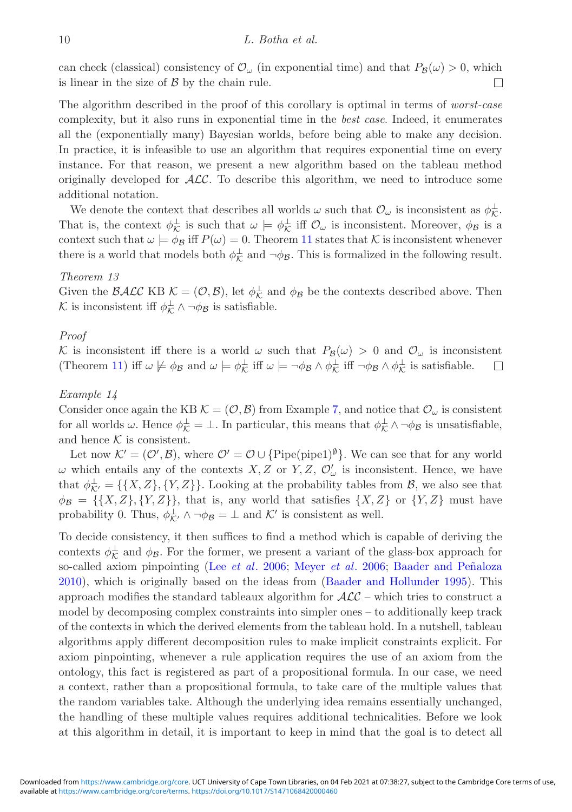can check (classical) consistency of  $\mathcal{O}_{\omega}$  (in exponential time) and that  $P_B(\omega) > 0$ , which is linear in the size of  $\beta$  by the chain rule.  $\Box$ 

The algorithm described in the proof of this corollary is optimal in terms of *worst-case* complexity, but it also runs in exponential time in the *best case*. Indeed, it enumerates all the (exponentially many) Bayesian worlds, before being able to make any decision. In practice, it is infeasible to use an algorithm that requires exponential time on every instance. For that reason, we present a new algorithm based on the tableau method originally developed for  $ALC$ . To describe this algorithm, we need to introduce some additional notation.

We denote the context that describes all worlds  $\omega$  such that  $\mathcal{O}_{\omega}$  is inconsistent as  $\phi_{\mathcal{K}}^{\perp}$ . That is, the context  $\phi_{\mathcal{K}}^{\perp}$  is such that  $\omega \models \phi_{\mathcal{K}}^{\perp}$  iff  $\mathcal{O}_{\omega}$  is inconsistent. Moreover,  $\phi_{\mathcal{B}}$  is a context such that  $\omega \models \phi_B$  iff  $P(\omega) = 0$ . Theorem [11](#page-8-0) states that K is inconsistent whenever there is a world that models both  $\phi_K^{\perp}$  and  $\neg \phi_B$ . This is formalized in the following result.

#### <span id="page-9-0"></span>*Theorem 13*

Given the BALC KB  $\mathcal{K} = (\mathcal{O}, \mathcal{B})$ , let  $\phi_{\mathcal{K}}^{\perp}$  and  $\phi_{\mathcal{B}}$  be the contexts described above. Then K is inconsistent iff  $\phi_{\mathcal{K}}^{\perp} \wedge \neg \phi_{\mathcal{B}}$  is satisfiable.

## *Proof*

K is inconsistent iff there is a world  $\omega$  such that  $P_B(\omega) > 0$  and  $\mathcal{O}_{\omega}$  is inconsistent (Theorem [11\)](#page-8-0) iff  $\omega \not\models \phi_B$  and  $\omega \models \phi_K^{\perp}$  iff  $\omega \models \neg \phi_B \land \phi_K^{\perp}$  if  $\neg \phi_B \land \phi_K^{\perp}$  is satisfiable.  $\Box$ 

#### *Example 14*

Consider once again the KB  $\mathcal{K} = (\mathcal{O}, \mathcal{B})$  from Example [7,](#page-6-0) and notice that  $\mathcal{O}_{\omega}$  is consistent for all worlds  $\omega$ . Hence  $\phi_{\mathcal{K}}^{\perp} = \perp$ . In particular, this means that  $\phi_{\mathcal{K}}^{\perp} \wedge \neg \phi_{\mathcal{B}}$  is unsatisfiable, and hence  $K$  is consistent.

Let now  $\mathcal{K}' = (\mathcal{O}', \mathcal{B})$ , where  $\mathcal{O}' = \mathcal{O} \cup \{\text{Pipe}(\text{pipe1})^{\emptyset}\}\.$  We can see that for any world  $\omega$  which entails any of the contexts  $X, Z$  or  $Y, Z, \mathcal{O}'_{\omega}$  is inconsistent. Hence, we have that  $\phi_{\mathcal{K}'}^{\perp} = \{\{X, Z\}, \{Y, Z\}\}\.$  Looking at the probability tables from  $\mathcal{B}$ , we also see that  $\phi_B = \{\{X, Z\}, \{Y, Z\}\}\$ , that is, any world that satisfies  $\{X, Z\}$  or  $\{Y, Z\}$  must have probability 0. Thus,  $\phi_{\mathcal{K}}^{\perp} \wedge \neg \phi_{\mathcal{B}} = \perp$  and  $\mathcal{K}'$  is consistent as well.

To decide consistency, it then suffices to find a method which is capable of deriving the contexts  $\phi_{\mathcal{K}}^{\perp}$  and  $\phi_{\mathcal{B}}$ . For the former, we present a variant of the glass-box approach for so-called axiom pinpointing (Lee *[et al](#page-23-4).* [2006;](#page-23-4) [Meyer](#page-23-5) *et al.* [2006](#page-23-5); Baader and Peñaloza [2010](#page-22-12)), which is originally based on the ideas from [\(Baader and Hollunder 1995\)](#page-21-4). This approach modifies the standard tableaux algorithm for  $\mathcal{ALC}$  – which tries to construct a model by decomposing complex constraints into simpler ones – to additionally keep track of the contexts in which the derived elements from the tableau hold. In a nutshell, tableau algorithms apply different decomposition rules to make implicit constraints explicit. For axiom pinpointing, whenever a rule application requires the use of an axiom from the ontology, this fact is registered as part of a propositional formula. In our case, we need a context, rather than a propositional formula, to take care of the multiple values that the random variables take. Although the underlying idea remains essentially unchanged, the handling of these multiple values requires additional technicalities. Before we look at this algorithm in detail, it is important to keep in mind that the goal is to detect all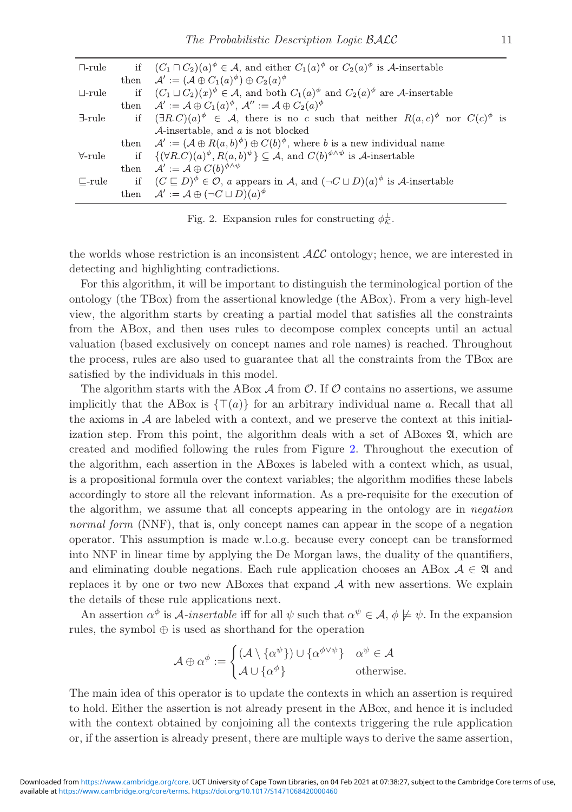<span id="page-10-0"></span>

| $\sqcap\text{-rule}$ | if $(C_1 \sqcap C_2)(a)^{\phi} \in \mathcal{A}$ , and either $C_1(a)^{\phi}$ or $C_2(a)^{\phi}$ is A-insertable |                                                                                                                                       |  |  |  |
|----------------------|-----------------------------------------------------------------------------------------------------------------|---------------------------------------------------------------------------------------------------------------------------------------|--|--|--|
|                      |                                                                                                                 | then $\mathcal{A}' := (\mathcal{A} \oplus C_1(a)^{\phi}) \oplus C_2(a)^{\phi}$                                                        |  |  |  |
| $\sqcup$ -rule       |                                                                                                                 | if $(C_1 \sqcup C_2)(x)^{\phi} \in \mathcal{A}$ , and both $C_1(a)^{\phi}$ and $C_2(a)^{\phi}$ are A-insertable                       |  |  |  |
|                      |                                                                                                                 | then $\mathcal{A}' := \mathcal{A} \oplus C_1(a)^{\phi}, \mathcal{A}'' := \mathcal{A} \oplus C_2(a)^{\phi}$                            |  |  |  |
| $\exists$ -rule      |                                                                                                                 | if $(\exists R.C)(a)^{\phi} \in \mathcal{A}$ , there is no c such that neither $R(a,c)^{\phi}$ nor $C(c)^{\phi}$ is                   |  |  |  |
|                      |                                                                                                                 | $\mathcal{A}$ -insertable, and a is not blocked                                                                                       |  |  |  |
|                      |                                                                                                                 | then $\mathcal{A}' := (\mathcal{A} \oplus R(a, b)^{\phi}) \oplus C(b)^{\phi}$ , where b is a new individual name                      |  |  |  |
|                      |                                                                                                                 | $\forall$ -rule if $\{(\forall R.C)(a)^{\phi}, R(a,b)^{\psi}\} \subseteq \mathcal{A}$ , and $C(b)^{\phi \wedge \psi}$ is A-insertable |  |  |  |
|                      |                                                                                                                 | then $\mathcal{A}' := \mathcal{A} \oplus C(b)^{\phi \wedge \psi}$                                                                     |  |  |  |
| $\Box$ -rule         |                                                                                                                 | if $(C \sqsubseteq D)^{\phi} \in \mathcal{O}$ , a appears in A, and $(\neg C \sqcup D)(a)^{\phi}$ is A-insertable                     |  |  |  |
|                      |                                                                                                                 | then $\mathcal{A}' := \mathcal{A} \oplus (\neg C \sqcup D)(a)^{\phi}$                                                                 |  |  |  |

Fig. 2. Expansion rules for constructing  $\phi_K^{\perp}$ .

the worlds whose restriction is an inconsistent  $\mathcal{ALC}$  ontology; hence, we are interested in detecting and highlighting contradictions.

For this algorithm, it will be important to distinguish the terminological portion of the ontology (the TBox) from the assertional knowledge (the ABox). From a very high-level view, the algorithm starts by creating a partial model that satisfies all the constraints from the ABox, and then uses rules to decompose complex concepts until an actual valuation (based exclusively on concept names and role names) is reached. Throughout the process, rules are also used to guarantee that all the constraints from the TBox are satisfied by the individuals in this model.

The algorithm starts with the ABox  $\mathcal A$  from  $\mathcal O$ . If  $\mathcal O$  contains no assertions, we assume implicitly that the ABox is  $\{\top(a)\}$  for an arbitrary individual name a. Recall that all the axioms in  $A$  are labeled with a context, and we preserve the context at this initialization step. From this point, the algorithm deals with a set of ABoxes  $\mathfrak{A}$ , which are created and modified following the rules from Figure [2.](#page-10-0) Throughout the execution of the algorithm, each assertion in the ABoxes is labeled with a context which, as usual, is a propositional formula over the context variables; the algorithm modifies these labels accordingly to store all the relevant information. As a pre-requisite for the execution of the algorithm, we assume that all concepts appearing in the ontology are in *negation normal form* (NNF), that is, only concept names can appear in the scope of a negation operator. This assumption is made w.l.o.g. because every concept can be transformed into NNF in linear time by applying the De Morgan laws, the duality of the quantifiers, and eliminating double negations. Each rule application chooses an ABox  $A \in \mathfrak{A}$  and replaces it by one or two new ABoxes that expand  $A$  with new assertions. We explain the details of these rule applications next.

An assertion  $\alpha^{\phi}$  is A-insertable iff for all  $\psi$  such that  $\alpha^{\psi} \in A$ ,  $\phi \not\models \psi$ . In the expansion rules, the symbol ⊕ is used as shorthand for the operation

$$
\mathcal{A} \oplus \alpha^{\phi} := \begin{cases} (\mathcal{A} \setminus \{\alpha^{\psi}\}) \cup \{\alpha^{\phi \vee \psi}\} & \alpha^{\psi} \in \mathcal{A} \\ \mathcal{A} \cup \{\alpha^{\phi}\} & \text{otherwise.} \end{cases}
$$

The main idea of this operator is to update the contexts in which an assertion is required to hold. Either the assertion is not already present in the ABox, and hence it is included with the context obtained by conjoining all the contexts triggering the rule application or, if the assertion is already present, there are multiple ways to derive the same assertion,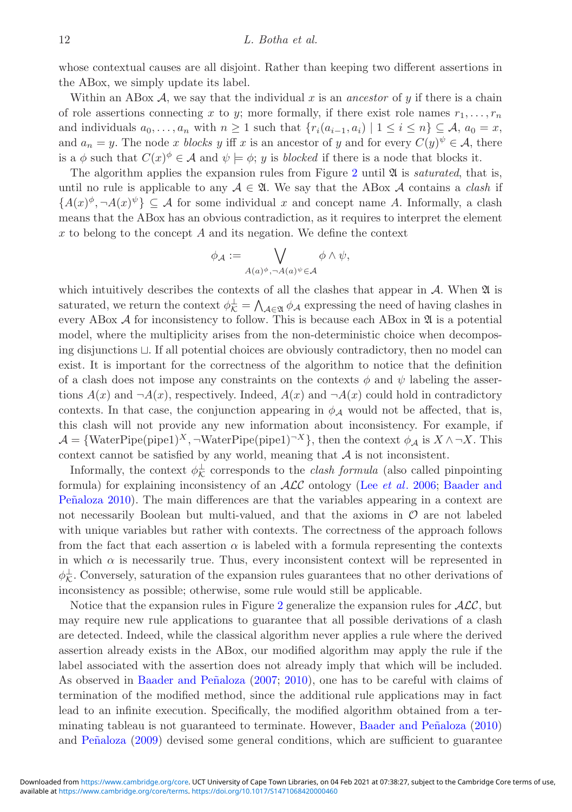whose contextual causes are all disjoint. Rather than keeping two different assertions in the ABox, we simply update its label.

Within an ABox  $A$ , we say that the individual x is an *ancestor* of y if there is a chain of role assertions connecting x to y; more formally, if there exist role names  $r_1, \ldots, r_n$ and individuals  $a_0, \ldots, a_n$  with  $n \geq 1$  such that  $\{r_i(a_{i-1}, a_i) \mid 1 \leq i \leq n\} \subseteq \mathcal{A}, a_0 = x$ , and  $a_n = y$ . The node x *blocks* y iff x is an ancestor of y and for every  $C(y)^{\psi} \in \mathcal{A}$ , there is a  $\phi$  such that  $C(x)^{\phi} \in \mathcal{A}$  and  $\psi \models \phi$ ; y is *blocked* if there is a node that blocks it.

The algorithm applies the expansion rules from Figure [2](#page-10-0) until A is *saturated*, that is, until no rule is applicable to any  $A \in \mathfrak{A}$ . We say that the ABox A contains a *clash* if  ${A(x)^{\phi}, \neg A(x)^{\psi}} \subseteq A$  for some individual x and concept name A. Informally, a clash means that the ABox has an obvious contradiction, as it requires to interpret the element x to belong to the concept A and its negation. We define the context

$$
\phi_{\mathcal{A}}:=\bigvee_{A(a)^{\phi}, \neg A(a)^{\psi}\in \mathcal{A}}\phi \wedge \psi,
$$

which intuitively describes the contexts of all the clashes that appear in  $A$ . When  $\mathfrak A$  is saturated, we return the context  $\phi_{\mathcal{K}}^{\perp} = \bigwedge_{\mathcal{A} \in \mathfrak{A}} \phi_{\mathcal{A}}$  expressing the need of having clashes in every ABox  $A$  for inconsistency to follow. This is because each ABox in  $\mathfrak A$  is a potential model, where the multiplicity arises from the non-deterministic choice when decomposing disjunctions  $\sqcup$ . If all potential choices are obviously contradictory, then no model can exist. It is important for the correctness of the algorithm to notice that the definition of a clash does not impose any constraints on the contexts  $\phi$  and  $\psi$  labeling the assertions  $A(x)$  and  $\neg A(x)$ , respectively. Indeed,  $A(x)$  and  $\neg A(x)$  could hold in contradictory contexts. In that case, the conjunction appearing in  $\phi_{\mathcal{A}}$  would not be affected, that is, this clash will not provide any new information about inconsistency. For example, if  $\mathcal{A} = \{\text{WaterPipe(pipe1)}^X, \neg \text{WaterPipe(pipe1)}^X\}$ , then the context  $\phi_A$  is  $X \wedge \neg X$ . This context cannot be satisfied by any world, meaning that  $A$  is not inconsistent.

Informally, the context  $\phi_{\mathcal{K}}^{\perp}$  corresponds to the *clash formula* (also called pinpointing formula) [for explaining inconsistency of an](#page-22-12) ALC ontology (Lee *[et al](#page-23-4)*. [2006](#page-23-4); Baader and Peñaloza [2010\)](#page-22-12). The main differences are that the variables appearing in a context are not necessarily Boolean but multi-valued, and that the axioms in  $\mathcal O$  are not labeled with unique variables but rather with contexts. The correctness of the approach follows from the fact that each assertion  $\alpha$  is labeled with a formula representing the contexts in which  $\alpha$  is necessarily true. Thus, every inconsistent context will be represented in  $\phi_{\mathcal{K}}^{\perp}$ . Conversely, saturation of the expansion rules guarantees that no other derivations of inconsistency as possible; otherwise, some rule would still be applicable.

Notice that the expansion rules in Figure [2](#page-10-0) generalize the expansion rules for  $\mathcal{ALC}$ , but may require new rule applications to guarantee that all possible derivations of a clash are detected. Indeed, while the classical algorithm never applies a rule where the derived assertion already exists in the ABox, our modified algorithm may apply the rule if the label associated with the assertion does not already imply that which will be included. As observed in Baader and Peñaloza [\(2007](#page-21-5); [2010](#page-22-12)), one has to be careful with claims of termination of the modified method, since the additional rule applications may in fact lead to an infinite execution. Specifically, the modified algorithm obtained from a ter-minating tableau is not guaranteed to terminate. However, Baader and Peñaloza [\(2010](#page-22-12)) and Peñaloza [\(2009](#page-23-6)) devised some general conditions, which are sufficient to guarantee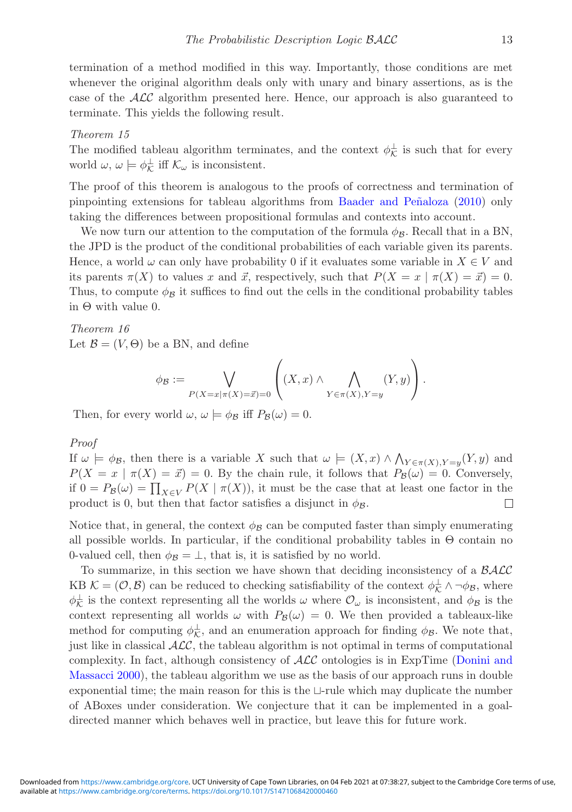termination of a method modified in this way. Importantly, those conditions are met whenever the original algorithm deals only with unary and binary assertions, as is the case of the  $\mathcal{ALC}$  algorithm presented here. Hence, our approach is also guaranteed to terminate. This yields the following result.

#### <span id="page-12-0"></span>*Theorem 15*

The modified tableau algorithm terminates, and the context  $\phi_{\mathcal{K}}^{\perp}$  is such that for every world  $\omega, \omega \models \phi_{\mathcal{K}}^{\perp}$  iff  $\mathcal{K}_{\omega}$  is inconsistent.

The proof of this theorem is analogous to the proofs of correctness and termination of pinpointing extensions for tableau algorithms from Baader and Peñaloza [\(2010](#page-22-12)) only taking the differences between propositional formulas and contexts into account.

We now turn our attention to the computation of the formula  $\phi_B$ . Recall that in a BN, the JPD is the product of the conditional probabilities of each variable given its parents. Hence, a world  $\omega$  can only have probability 0 if it evaluates some variable in  $X \in V$  and its parents  $\pi(X)$  to values x and  $\vec{x}$ , respectively, such that  $P(X = x \mid \pi(X) = \vec{x}) = 0$ . Thus, to compute  $\phi_B$  it suffices to find out the cells in the conditional probability tables in Θ with value 0.

<span id="page-12-1"></span>*Theorem 16* Let  $\mathcal{B} = (V, \Theta)$  be a BN, and define

$$
\phi_{\mathcal{B}} := \bigvee_{P(X=x|\pi(X)=\vec{x})=0} \left( (X,x) \land \bigwedge_{Y \in \pi(X), Y=y} (Y,y) \right).
$$

Then, for every world  $\omega, \omega \models \phi_B$  iff  $P_B(\omega) = 0$ .

*Proof*

If  $\omega \models \phi_B$ , then there is a variable X such that  $\omega \models (X, x) \land \bigwedge_{Y \in \pi(X), Y=y}(Y, y)$  and  $P(X = x \mid \pi(X) = \vec{x}) = 0$ . By the chain rule, it follows that  $P_B(\omega) = 0$ . Conversely, if  $0 = P_{\mathcal{B}}(\omega) = \prod_{X \in V} P(X \mid \pi(X))$ , it must be the case that at least one factor in the product is 0, but then that factor satisfies a disjunct in  $\phi_B$ .  $\Box$ 

Notice that, in general, the context  $\phi_B$  can be computed faster than simply enumerating all possible worlds. In particular, if the conditional probability tables in  $\Theta$  contain no 0-valued cell, then  $\phi_B = \bot$ , that is, it is satisfied by no world.

To summarize, in this section we have shown that deciding inconsistency of a BALC KB  $\mathcal{K} = (\mathcal{O}, \mathcal{B})$  can be reduced to checking satisfiability of the context  $\phi_{\mathcal{K}}^{\perp} \wedge \neg \phi_{\mathcal{B}}$ , where  $\phi_{\mathcal{K}}^{\perp}$  is the context representing all the worlds  $\omega$  where  $\mathcal{O}_{\omega}$  is inconsistent, and  $\phi_{\mathcal{B}}$  is the context representing all worlds  $\omega$  with  $P_B(\omega) = 0$ . We then provided a tableaux-like method for computing  $\phi_{\mathcal{K}}^{\perp}$ , and an enumeration approach for finding  $\phi_{\mathcal{B}}$ . We note that, just like in classical  $\mathcal{ALC}$ , the tableau algorithm is not optimal in terms of computational complex[ity.](#page-22-11) [In](#page-22-11) [fact,](#page-22-11) [although](#page-22-11) [consistency](#page-22-11) [of](#page-22-11)  $\mathcal{ALC}$  ontologies is in ExpTime (Donini and Massacci [2000\)](#page-22-11), the tableau algorithm we use as the basis of our approach runs in double exponential time; the main reason for this is the  $\sqcup$ -rule which may duplicate the number of ABoxes under consideration. We conjecture that it can be implemented in a goaldirected manner which behaves well in practice, but leave this for future work.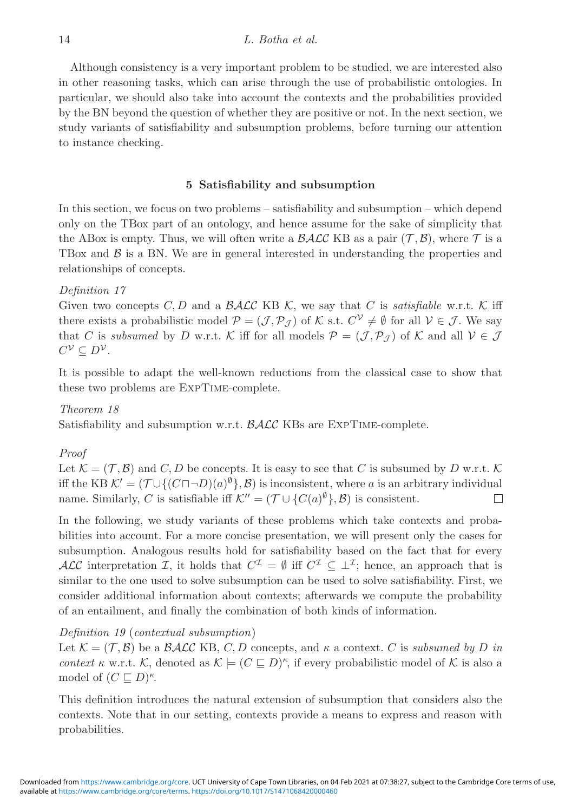Although consistency is a very important problem to be studied, we are interested also in other reasoning tasks, which can arise through the use of probabilistic ontologies. In particular, we should also take into account the contexts and the probabilities provided by the BN beyond the question of whether they are positive or not. In the next section, we study variants of satisfiability and subsumption problems, before turning our attention to instance checking.

## **5 Satisfiability and subsumption**

In this section, we focus on two problems – satisfiability and subsumption – which depend only on the TBox part of an ontology, and hence assume for the sake of simplicity that the ABox is empty. Thus, we will often write a  $\mathcal{BALC}$  KB as a pair  $(\mathcal{T}, \mathcal{B})$ , where  $\mathcal{T}$  is a TBox and  $\beta$  is a BN. We are in general interested in understanding the properties and relationships of concepts.

## *Definition 17*

Given two concepts  $C, D$  and a  $\mathcal{BALC}$  KB K, we say that C is *satisfiable* w.r.t. K iff there exists a probabilistic model  $\mathcal{P} = (\mathcal{J}, \mathcal{P}_{\mathcal{J}})$  of K s.t.  $C^{\mathcal{V}} \neq \emptyset$  for all  $\mathcal{V} \in \mathcal{J}$ . We say that C is *subsumed* by D w.r.t. K iff for all models  $\mathcal{P} = (\mathcal{J}, \mathcal{P}_{\mathcal{J}})$  of K and all  $\mathcal{V} \in \mathcal{J}$  $C^{\mathcal{V}} \subseteq D^{\mathcal{V}}$ .

It is possible to adapt the well-known reductions from the classical case to show that these two problems are ExpTime-complete.

## *Theorem 18*

Satisfiability and subsumption w.r.t.  $\mathcal{BALC}$  KBs are EXPTIME-complete.

#### *Proof*

Let  $\mathcal{K} = (\mathcal{T}, \mathcal{B})$  and C, D be concepts. It is easy to see that C is subsumed by D w.r.t. K iff the KB  $\mathcal{K}' = (\mathcal{T} \cup \{ (C \sqcap \neg D)(a)^{\emptyset} \}, \mathcal{B})$  is inconsistent, where a is an arbitrary individual name. Similarly, C is satisfiable iff  $\mathcal{K}'' = (\mathcal{T} \cup \{C(a)^{\emptyset}\}, \mathcal{B})$  is consistent.  $\Box$ 

In the following, we study variants of these problems which take contexts and probabilities into account. For a more concise presentation, we will present only the cases for subsumption. Analogous results hold for satisfiability based on the fact that for every ALC interpretation I, it holds that  $C^{\mathcal{I}} = \emptyset$  iff  $C^{\mathcal{I}} \subset \perp^{\mathcal{I}}$ ; hence, an approach that is similar to the one used to solve subsumption can be used to solve satisfiability. First, we consider additional information about contexts; afterwards we compute the probability of an entailment, and finally the combination of both kinds of information.

#### <span id="page-13-1"></span>*Definition 19* (*contextual subsumption*)

Let  $\mathcal{K} = (\mathcal{T}, \mathcal{B})$  be a  $\mathcal{BALC}$  KB, C, D concepts, and  $\kappa$  a context. C is *subsumed by* D in *context*  $\kappa$  w.r.t. K, denoted as  $\mathcal{K} \models (C \sqsubseteq D)^{\kappa}$ , if every probabilistic model of K is also a model of  $(C \sqsubseteq D)^{\kappa}$ .

<span id="page-13-0"></span>This definition introduces the natural extension of subsumption that considers also the contexts. Note that in our setting, contexts provide a means to express and reason with probabilities.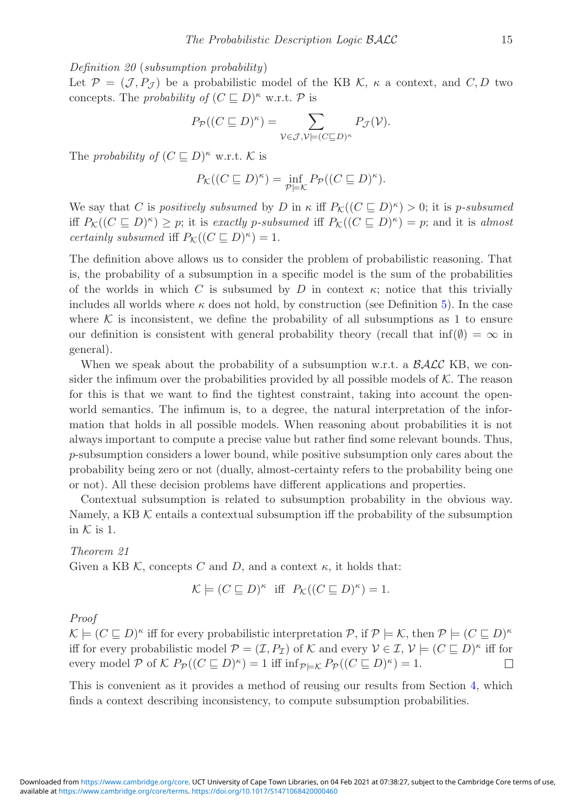*Definition 20* (*subsumption probability*)

Let  $\mathcal{P} = (\mathcal{J}, P_{\mathcal{J}})$  be a probabilistic model of the KB K,  $\kappa$  a context, and C, D two concepts. The *probability of*  $(C \sqsubseteq D)^{\kappa}$  w.r.t. P is

$$
P_{\mathcal{P}}((C \sqsubseteq D)^{\kappa}) = \sum_{\mathcal{V} \in \mathcal{J}, \mathcal{V} \models (C \sqsubseteq D)^{\kappa}} P_{\mathcal{J}}(\mathcal{V}).
$$

The *probability of*  $(C \sqsubseteq D)^{\kappa}$  w.r.t. K is

$$
P_{\mathcal{K}}((C \sqsubseteq D)^{\kappa}) = \inf_{\mathcal{P} \models \mathcal{K}} P_{\mathcal{P}}((C \sqsubseteq D)^{\kappa}).
$$

We say that C is *positively subsumed* by D in  $\kappa$  iff  $P_{\mathcal{K}}((C \sqsubseteq D)^{\kappa}) > 0$ ; it is *p-subsumed* iff  $P_{\mathcal{K}}((C \sqsubseteq D)^{\kappa}) \geq p$ ; it is *exactly p-subsumed* iff  $P_{\mathcal{K}}((C \sqsubseteq D)^{\kappa}) = p$ ; and it is *almost certainly subsumed* iff  $P_K((C \sqsubseteq D)^{\kappa}) = 1$ .

The definition above allows us to consider the problem of probabilistic reasoning. That is, the probability of a subsumption in a specific model is the sum of the probabilities of the worlds in which C is subsumed by D in context  $\kappa$ ; notice that this trivially includes all worlds where  $\kappa$  does not hold, by construction (see Definition [5\)](#page-5-0). In the case where  $\mathcal K$  is inconsistent, we define the probability of all subsumptions as 1 to ensure our definition is consistent with general probability theory (recall that  $\inf(\emptyset) = \infty$  in general).

When we speak about the probability of a subsumption w.r.t. a  $\beta A\mathcal{L}C$  KB, we consider the infimum over the probabilities provided by all possible models of  $K$ . The reason for this is that we want to find the tightest constraint, taking into account the openworld semantics. The infimum is, to a degree, the natural interpretation of the information that holds in all possible models. When reasoning about probabilities it is not always important to compute a precise value but rather find some relevant bounds. Thus, p-subsumption considers a lower bound, while positive subsumption only cares about the probability being zero or not (dually, almost-certainty refers to the probability being one or not). All these decision problems have different applications and properties.

Contextual subsumption is related to subsumption probability in the obvious way. Namely, a KB  $K$  entails a contextual subsumption iff the probability of the subsumption in  $K$  is 1.

*Theorem 21* Given a KB K, concepts C and D, and a context  $\kappa$ , it holds that:

$$
\mathcal{K} \models (C \sqsubseteq D)^{\kappa} \text{ iff } P_{\mathcal{K}}((C \sqsubseteq D)^{\kappa}) = 1.
$$

#### *Proof*

 $\mathcal{K} \models (C \sqsubset D)^{\kappa}$  iff for every probabilistic interpretation P, if  $\mathcal{P} \models \mathcal{K}$ , then  $\mathcal{P} \models (C \sqsubset D)^{\kappa}$ iff for every probabilistic model  $\mathcal{P} = (\mathcal{I}, P_{\mathcal{I}})$  of K and every  $\mathcal{V} \in \mathcal{I}, \mathcal{V} \models (C \sqsubseteq D)^{\kappa}$  iff for every model P of K  $P_{\mathcal{P}}((C \sqsubseteq D)^{\kappa}) = 1$  iff  $\inf_{\mathcal{P} \models K} P_{\mathcal{P}}((C \sqsubseteq D)^{\kappa}) = 1$ .  $\Box$ 

This is convenient as it provides a method of reusing our results from Section [4,](#page-7-0) which finds a context describing inconsistency, to compute subsumption probabilities.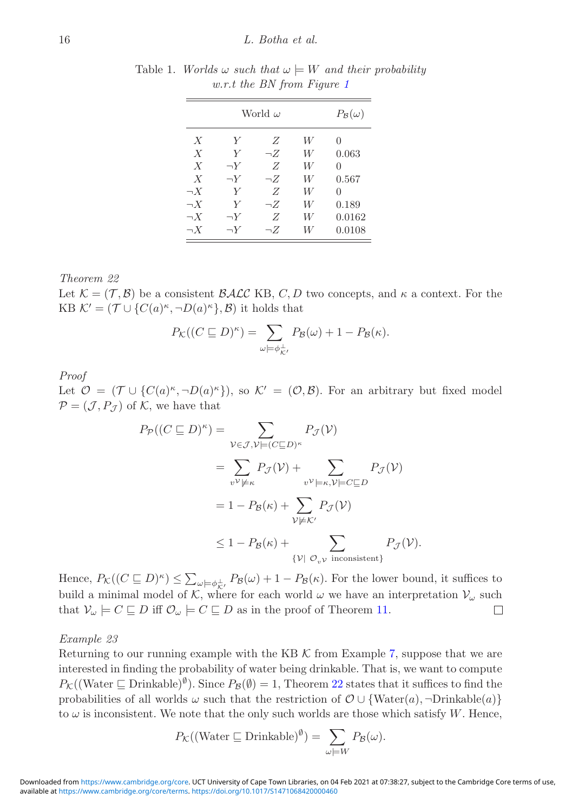|                  | $P_{\mathcal{B}}(\omega)$ |          |   |               |
|------------------|---------------------------|----------|---|---------------|
| $\boldsymbol{X}$ | Y                         | Z        | W | 0             |
| $\boldsymbol{X}$ | Y                         | $\neg Z$ | W | 0.063         |
| $\boldsymbol{X}$ | $\neg Y$                  | Z        | W | $\mathcal{O}$ |
| $\boldsymbol{X}$ | $\neg Y$                  | $\neg Z$ | W | 0.567         |
| $\neg X$         | Y                         | Z        | W | 0             |
| $\neg X$         | Y                         | $\neg Z$ | W | 0.189         |
| $\neg X$         | $\neg Y$                  | Z        | W | 0.0162        |
| $\neg X$         | $\neg Y$                  | $\neg Z$ | W | 0.0108        |

<span id="page-15-1"></span>Table 1. *Worlds*  $\omega$  *such that*  $\omega \models W$  *and their probability w.r.t the BN from Figure [1](#page-3-0)*

## <span id="page-15-0"></span>*Theorem 22*

Let  $\mathcal{K} = (\mathcal{T}, \mathcal{B})$  be a consistent  $\mathcal{BALC}$  KB, C, D two concepts, and  $\kappa$  a context. For the KB  $\mathcal{K}' = (\mathcal{T} \cup \{C(a)^{\kappa}, \neg D(a)^{\kappa}\}, \mathcal{B})$  it holds that

$$
P_{\mathcal{K}}((C \sqsubseteq D)^{\kappa}) = \sum_{\omega \models \phi_{\mathcal{K}'}^{\perp}} P_{\mathcal{B}}(\omega) + 1 - P_{\mathcal{B}}(\kappa).
$$

*Proof*

Let  $\mathcal{O} = (\mathcal{T} \cup \{C(a)^{\kappa}, \neg D(a)^{\kappa}\})$ , so  $\mathcal{K}' = (\mathcal{O}, \mathcal{B})$ . For an arbitrary but fixed model  $\mathcal{P} = (\mathcal{J}, P_{\mathcal{J}})$  of K, we have that

$$
P_{\mathcal{P}}((C \sqsubseteq D)^{\kappa}) = \sum_{\mathcal{V} \in \mathcal{J}, \mathcal{V} \models (C \sqsubseteq D)^{\kappa}} P_{\mathcal{J}}(\mathcal{V})
$$
  
\n
$$
= \sum_{\mathcal{V} \mathcal{V} \neq \kappa} P_{\mathcal{J}}(\mathcal{V}) + \sum_{\mathcal{V} \mathcal{V} \models \kappa, \mathcal{V} \models C \sqsubseteq D} P_{\mathcal{J}}(\mathcal{V})
$$
  
\n
$$
= 1 - P_{\mathcal{B}}(\kappa) + \sum_{\mathcal{V} \models \kappa'} P_{\mathcal{J}}(\mathcal{V})
$$
  
\n
$$
\leq 1 - P_{\mathcal{B}}(\kappa) + \sum_{\{\mathcal{V} \mid \mathcal{O}_{\mathcal{V}} \text{ inconsistent}\}} P_{\mathcal{J}}(\mathcal{V}).
$$

Hence,  $P_{\mathcal{K}}((C \sqsubseteq D)^{\kappa}) \leq \sum_{\omega \models \phi_{\kappa}^{\perp}} P_{\mathcal{B}}(\omega) + 1 - P_{\mathcal{B}}(\kappa)$ . For the lower bound, it suffices to build a minimal model of K, where for each world  $\omega$  we have an interpretation  $\mathcal{V}_{\omega}$  such that  $\mathcal{V}_{\omega} \models C \sqsubseteq D$  iff  $\mathcal{O}_{\omega} \models C \sqsubseteq D$  as in the proof of Theorem [11.](#page-8-0)  $\Box$ 

#### <span id="page-15-2"></span>*Example 23*

Returning to our running example with the KB  $\mathcal K$  from Example [7,](#page-6-0) suppose that we are interested in finding the probability of water being drinkable. That is, we want to compute  $P_{\mathcal{K}}((\text{Water } \sqsubseteq \text{Drinkable})^{\emptyset}).$  Since  $P_{\mathcal{B}}(\emptyset) = 1$ , Theorem [22](#page-15-0) states that it suffices to find the probabilities of all worlds  $\omega$  such that the restriction of  $\mathcal{O} \cup \{\text{Water}(a), \neg \text{Drinkable}(a)\}\$ to  $\omega$  is inconsistent. We note that the only such worlds are those which satisfy  $W$ . Hence,

$$
P_{\mathcal{K}}((\text{Water } \sqsubseteq \text{Drinkable})^{\emptyset}) = \sum_{\omega \models W} P_{\mathcal{B}}(\omega).
$$

available at <https://www.cambridge.org/core/terms>.<https://doi.org/10.1017/S1471068420000460> Downloaded from [https://www.cambridge.org/core.](https://www.cambridge.org/core) UCT University of Cape Town Libraries, on 04 Feb 2021 at 07:38:27, subject to the Cambridge Core terms of use,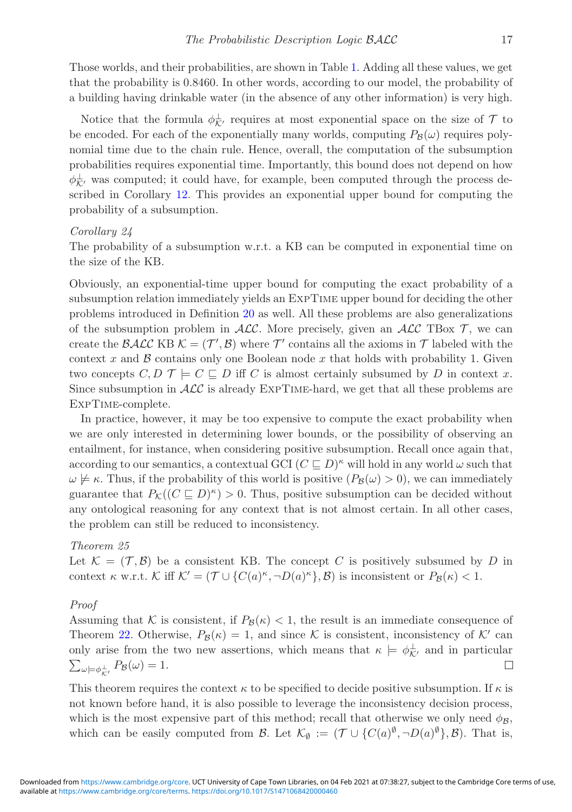Those worlds, and their probabilities, are shown in Table [1.](#page-15-1) Adding all these values, we get that the probability is 0.8460. In other words, according to our model, the probability of a building having drinkable water (in the absence of any other information) is very high.

Notice that the formula  $\phi_{\mathcal{K}'}^{\perp}$  requires at most exponential space on the size of  $\mathcal{T}$  to be encoded. For each of the exponentially many worlds, computing  $P_B(\omega)$  requires polynomial time due to the chain rule. Hence, overall, the computation of the subsumption probabilities requires exponential time. Importantly, this bound does not depend on how  $\phi_{\mathcal{K}}^{\perp}$ , was computed; it could have, for example, been computed through the process described in Corollary [12.](#page-8-1) This provides an exponential upper bound for computing the probability of a subsumption.

#### *Corollary 24*

The probability of a subsumption w.r.t. a KB can be computed in exponential time on the size of the KB.

Obviously, an exponential-time upper bound for computing the exact probability of a subsumption relation immediately yields an ExpTime upper bound for deciding the other problems introduced in Definition [20](#page-13-0) as well. All these problems are also generalizations of the subsumption problem in  $ALC$ . More precisely, given an  $ALC$  TBox  $\mathcal{T}$ , we can create the BALC KB  $\mathcal{K} = (\mathcal{T}', \mathcal{B})$  where  $\mathcal{T}'$  contains all the axioms in  $\mathcal{T}$  labeled with the context x and  $\beta$  contains only one Boolean node x that holds with probability 1. Given two concepts  $C, D \mathcal{T} \models C \sqsubseteq D$  iff C is almost certainly subsumed by D in context x. Since subsumption in  $\mathcal{ALC}$  is already EXPTIME-hard, we get that all these problems are ExpTime-complete.

In practice, however, it may be too expensive to compute the exact probability when we are only interested in determining lower bounds, or the possibility of observing an entailment, for instance, when considering positive subsumption. Recall once again that, according to our semantics, a contextual GCI  $(C \sqsubseteq D)^{\kappa}$  will hold in any world  $\omega$  such that  $\omega \not\models \kappa$ . Thus, if the probability of this world is positive  $(P_B(\omega) > 0)$ , we can immediately guarantee that  $P_{\mathcal{K}}((C \sqsubseteq D)^{\kappa}) > 0$ . Thus, positive subsumption can be decided without any ontological reasoning for any context that is not almost certain. In all other cases, the problem can still be reduced to inconsistency.

## <span id="page-16-0"></span>*Theorem 25*

Let  $\mathcal{K} = (\mathcal{T}, \mathcal{B})$  be a consistent KB. The concept C is positively subsumed by D in context  $\kappa$  w.r.t. K iff  $\mathcal{K}' = (\mathcal{T} \cup \{C(a)^{\kappa}, \neg D(a)^{\kappa}\}, \mathcal{B})$  is inconsistent or  $P_{\mathcal{B}}(\kappa) < 1$ .

#### *Proof*

Assuming that K is consistent, if  $P_B(\kappa) < 1$ , the result is an immediate consequence of Theorem [22.](#page-15-0) Otherwise,  $P_B(\kappa) = 1$ , and since K is consistent, inconsistency of K' can only arise from the two new assertions, which means that  $\kappa \models \phi_{\mathcal{K}}^{\perp}$  and in particular  $\sum_{\omega\models\phi_{\mathcal{K}}^{\perp}} P_{\mathcal{B}}(\omega) = 1.$  $\Box$ 

This theorem requires the context  $\kappa$  to be specified to decide positive subsumption. If  $\kappa$  is not known before hand, it is also possible to leverage the inconsistency decision process, which is the most expensive part of this method; recall that otherwise we only need  $\phi_B$ , which can be easily computed from B. Let  $\mathcal{K}_{\emptyset} := (\mathcal{T} \cup \{C(a)^{\emptyset}, \neg D(a)^{\emptyset}\}, \mathcal{B})$ . That is,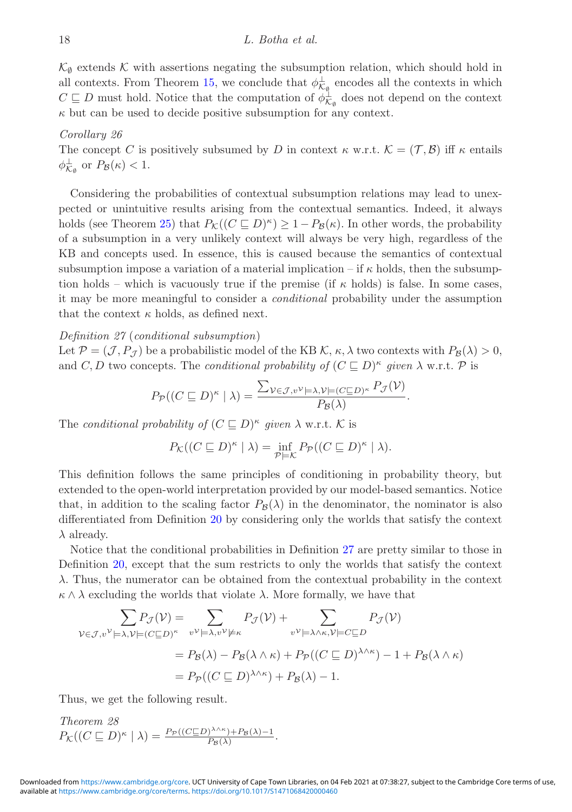$\mathcal{K}_{\emptyset}$  extends K with assertions negating the subsumption relation, which should hold in all contexts. From Theorem [15,](#page-12-0) we conclude that  $\phi_{\mathcal{K}_{\varphi}}^{\perp}$  encodes all the contexts in which  $C \sqsubseteq D$  must hold. Notice that the computation of  $\phi_{K_{\varnothing}}^{\perp}$  does not depend on the context  $\kappa$  but can be used to decide positive subsumption for any context.

## *Corollary 26*

The concept C is positively subsumed by D in context  $\kappa$  w.r.t.  $\mathcal{K} = (\mathcal{T}, \mathcal{B})$  iff  $\kappa$  entails  $\phi_{\mathcal{K}_{\emptyset}}^{\perp}$  or  $P_{\mathcal{B}}(\kappa) < 1$ .

Considering the probabilities of contextual subsumption relations may lead to unexpected or unintuitive results arising from the contextual semantics. Indeed, it always holds (see Theorem [25\)](#page-16-0) that  $P_K((C \sqsubset D)^{\kappa}) \geq 1 - P_{\mathcal{B}}(\kappa)$ . In other words, the probability of a subsumption in a very unlikely context will always be very high, regardless of the KB and concepts used. In essence, this is caused because the semantics of contextual subsumption impose a variation of a material implication – if  $\kappa$  holds, then the subsumption holds – which is vacuously true if the premise (if  $\kappa$  holds) is false. In some cases, it may be more meaningful to consider a *conditional* probability under the assumption that the context  $\kappa$  holds, as defined next.

## *Definition 27* (*conditional subsumption*)

Let  $\mathcal{P} = (\mathcal{J}, P_{\mathcal{J}})$  be a probabilistic model of the KB  $\mathcal{K}, \kappa, \lambda$  two contexts with  $P_{\mathcal{B}}(\lambda) > 0$ , and C, D two concepts. The *conditional probability of*  $(C \sqsubseteq D)^{\kappa}$  *given*  $\lambda$  w.r.t. P is

<span id="page-17-0"></span>
$$
P_{\mathcal{P}}((C \sqsubseteq D)^{\kappa} \mid \lambda) = \frac{\sum_{\mathcal{V} \in \mathcal{J}, v^{\mathcal{V}} \models \lambda, \mathcal{V} \models (C \sqsubseteq D)^{\kappa}} P_{\mathcal{J}}(\mathcal{V})}{P_{\mathcal{B}}(\lambda)}.
$$

The *conditional probability of*  $(C \sqsubseteq D)^{\kappa}$  *given*  $\lambda$  w.r.t. K is

$$
P_{\mathcal{K}}((C \sqsubseteq D)^{\kappa} \mid \lambda) = \inf_{\mathcal{P} \models \mathcal{K}} P_{\mathcal{P}}((C \sqsubseteq D)^{\kappa} \mid \lambda).
$$

This definition follows the same principles of conditioning in probability theory, but extended to the open-world interpretation provided by our model-based semantics. Notice that, in addition to the scaling factor  $P_B(\lambda)$  in the denominator, the nominator is also differentiated from Definition [20](#page-13-0) by considering only the worlds that satisfy the context  $\lambda$  already.

Notice that the conditional probabilities in Definition [27](#page-17-0) are pretty similar to those in Definition [20,](#page-13-0) except that the sum restricts to only the worlds that satisfy the context λ. Thus, the numerator can be obtained from the contextual probability in the context  $\kappa \wedge \lambda$  excluding the worlds that violate  $\lambda$ . More formally, we have that

$$
\sum_{\mathcal{V}\in\mathcal{J},v^{\mathcal{V}}\models\lambda,\mathcal{V}\models (C\sqsubseteq D)^{\kappa}} P_{\mathcal{J}}(\mathcal{V}) + \sum_{v^{\mathcal{V}}\models\lambda,v^{\mathcal{V}}\models\kappa} P_{\mathcal{J}}(\mathcal{V})
$$
\n
$$
= P_{\mathcal{B}}(\lambda) - P_{\mathcal{B}}(\lambda \wedge \kappa) + P_{\mathcal{P}}((C\sqsubseteq D)^{\lambda \wedge \kappa}) - 1 + P_{\mathcal{B}}(\lambda \wedge \kappa)
$$
\n
$$
= P_{\mathcal{P}}((C\sqsubseteq D)^{\lambda \wedge \kappa}) + P_{\mathcal{B}}(\lambda) - 1.
$$

<span id="page-17-1"></span>Thus, we get the following result.

*Theorem 28*  $P_{\mathcal{K}}((C \sqsubseteq D)^{\kappa} \mid \lambda) = \frac{P_{\mathcal{P}}((C \sqsubseteq D)^{\lambda \wedge \kappa}) + P_{\mathcal{B}}(\lambda)-1}{P_{\mathcal{B}}(\lambda)}.$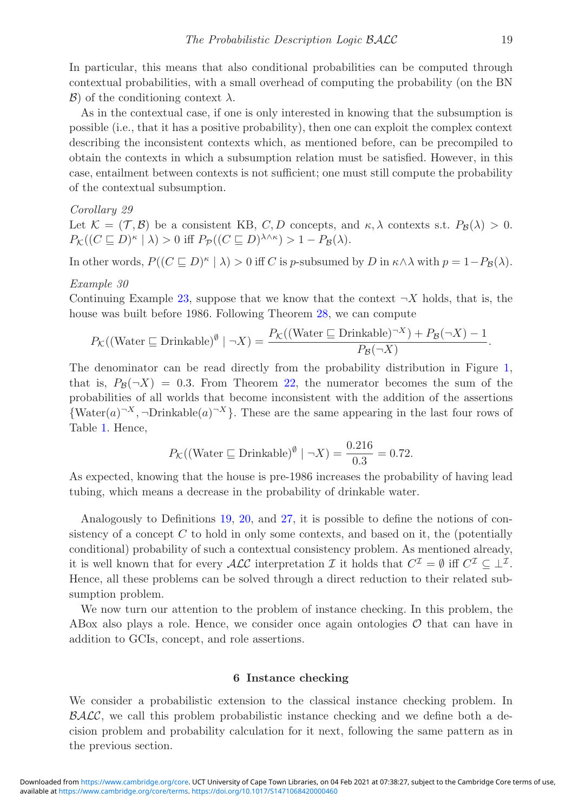In particular, this means that also conditional probabilities can be computed through contextual probabilities, with a small overhead of computing the probability (on the BN  $\mathcal{B}$ ) of the conditioning context  $\lambda$ .

As in the contextual case, if one is only interested in knowing that the subsumption is possible (i.e., that it has a positive probability), then one can exploit the complex context describing the inconsistent contexts which, as mentioned before, can be precompiled to obtain the contexts in which a subsumption relation must be satisfied. However, in this case, entailment between contexts is not sufficient; one must still compute the probability of the contextual subsumption.

## *Corollary 29*

Let  $\mathcal{K} = (\mathcal{T}, \mathcal{B})$  be a consistent KB, C, D concepts, and  $\kappa, \lambda$  contexts s.t.  $P_{\mathcal{B}}(\lambda) > 0$ .  $P_{\mathcal{K}}((C \sqsubseteq D)^{\kappa} \mid \lambda) > 0$  iff  $P_{\mathcal{P}}((C \sqsubseteq D)^{\lambda \wedge \kappa}) > 1 - P_{\mathcal{B}}(\lambda)$ .

In other words,  $P((C \sqsubseteq D)^{\kappa} \mid \lambda) > 0$  iff C is p-subsumed by D in  $\kappa \wedge \lambda$  with  $p = 1-P_{\mathcal{B}}(\lambda)$ .

## *Example 30*

Continuing Example [23,](#page-15-2) suppose that we know that the context  $\neg X$  holds, that is, the house was built before 1986. Following Theorem [28,](#page-17-1) we can compute

$$
P_{\mathcal{K}}((\text{Water } \sqsubseteq \text{Drinkable})^{\emptyset} \mid \neg X) = \frac{P_{\mathcal{K}}((\text{Water } \sqsubseteq \text{Drinkable})^{\neg X}) + P_{\mathcal{B}}(\neg X) - 1}{P_{\mathcal{B}}(\neg X)}.
$$

The denominator can be read directly from the probability distribution in Figure [1,](#page-3-0) that is,  $P_B(\neg X)=0.3$ . From Theorem [22,](#page-15-0) the numerator becomes the sum of the probabilities of all worlds that become inconsistent with the addition of the assertions  ${\text{Water}(a)^{-X}, \neg \text{Drinkable}(a)^{-X}}$ . These are the same appearing in the last four rows of Table [1.](#page-15-1) Hence,

$$
P_{\mathcal{K}}((\text{Water } \sqsubseteq \text{Drinkable})^{\emptyset} \mid \neg X) = \frac{0.216}{0.3} = 0.72.
$$

As expected, knowing that the house is pre-1986 increases the probability of having lead tubing, which means a decrease in the probability of drinkable water.

Analogously to Definitions [19,](#page-13-1) [20,](#page-13-0) and [27,](#page-17-0) it is possible to define the notions of consistency of a concept  $C$  to hold in only some contexts, and based on it, the (potentially conditional) probability of such a contextual consistency problem. As mentioned already, it is well known that for every  $\mathcal{ALC}$  interpretation  $\mathcal I$  it holds that  $C^{\mathcal I} = \emptyset$  iff  $C^{\mathcal I} \subseteq \perp^{\mathcal I}$ . Hence, all these problems can be solved through a direct reduction to their related subsumption problem.

We now turn our attention to the problem of instance checking. In this problem, the ABox also plays a role. Hence, we consider once again ontologies  $\mathcal O$  that can have in addition to GCIs, concept, and role assertions.

## **6 Instance checking**

We consider a probabilistic extension to the classical instance checking problem. In  $\mathcal{BALC}$ , we call this problem probabilistic instance checking and we define both a decision problem and probability calculation for it next, following the same pattern as in the previous section.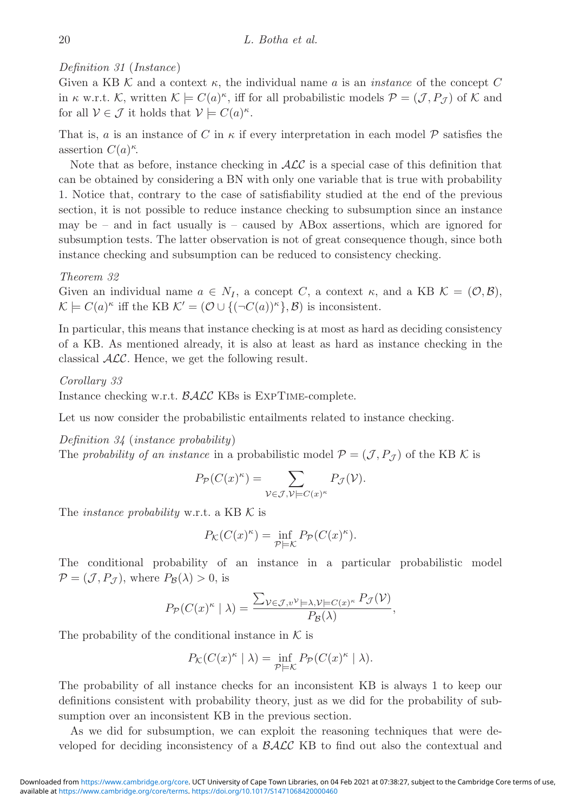# *Definition 31* (*Instance*)

Given a KB  $K$  and a context  $\kappa$ , the individual name a is an *instance* of the concept C in  $\kappa$  w.r.t. K, written  $\mathcal{K} \models C(a)^{\kappa}$ , iff for all probabilistic models  $\mathcal{P} = (\mathcal{J}, P_{\mathcal{J}})$  of K and for all  $V \in \mathcal{J}$  it holds that  $V \models C(a)^{\kappa}$ .

That is, a is an instance of C in  $\kappa$  if every interpretation in each model  $\mathcal P$  satisfies the assertion  $C(a)^{\kappa}$ .

Note that as before, instance checking in  $\mathcal{ALC}$  is a special case of this definition that can be obtained by considering a BN with only one variable that is true with probability 1. Notice that, contrary to the case of satisfiability studied at the end of the previous section, it is not possible to reduce instance checking to subsumption since an instance may be – and in fact usually is – caused by ABox assertions, which are ignored for subsumption tests. The latter observation is not of great consequence though, since both instance checking and subsumption can be reduced to consistency checking.

*Theorem 32*

Given an individual name  $a \in N_I$ , a concept C, a context  $\kappa$ , and a KB  $\mathcal{K} = (\mathcal{O}, \mathcal{B})$ ,  $\mathcal{K} \models C(a)^{\kappa}$  iff the KB  $\mathcal{K}' = (\mathcal{O} \cup \{ (\neg C(a))^{\kappa} \}, \mathcal{B})$  is inconsistent.

In particular, this means that instance checking is at most as hard as deciding consistency of a KB. As mentioned already, it is also at least as hard as instance checking in the classical ALC. Hence, we get the following result.

*Corollary 33*

Instance checking w.r.t. BALC KBs is ExpTime-complete.

Let us now consider the probabilistic entailments related to instance checking.

*Definition 34* (*instance probability*)

The *probability of an instance* in a probabilistic model  $\mathcal{P} = (\mathcal{J}, P_{\mathcal{J}})$  of the KB K is

$$
P_{\mathcal{P}}(C(x)^{\kappa}) = \sum_{\mathcal{V} \in \mathcal{J}, \mathcal{V} \models C(x)^{\kappa}} P_{\mathcal{J}}(\mathcal{V}).
$$

The *instance probability* w.r.t. a KB K is

$$
P_{\mathcal{K}}(C(x)^{\kappa}) = \inf_{\mathcal{P} \models \mathcal{K}} P_{\mathcal{P}}(C(x)^{\kappa}).
$$

The conditional probability of an instance in a particular probabilistic model  $\mathcal{P} = (\mathcal{J}, P_{\mathcal{J}})$ , where  $P_{\mathcal{B}}(\lambda) > 0$ , is

$$
P_{\mathcal{P}}(C(x)^{\kappa} \mid \lambda) = \frac{\sum_{\mathcal{V} \in \mathcal{J}, v^{\mathcal{V}} \models \lambda, \mathcal{V} \models C(x)^{\kappa}} P_{\mathcal{J}}(\mathcal{V})}{P_{\mathcal{B}}(\lambda)},
$$

The probability of the conditional instance in  $K$  is

$$
P_{\mathcal{K}}(C(x)^{\kappa} \mid \lambda) = \inf_{\mathcal{P} \models \mathcal{K}} P_{\mathcal{P}}(C(x)^{\kappa} \mid \lambda).
$$

The probability of all instance checks for an inconsistent KB is always 1 to keep our definitions consistent with probability theory, just as we did for the probability of subsumption over an inconsistent KB in the previous section.

As we did for subsumption, we can exploit the reasoning techniques that were developed for deciding inconsistency of a BALC KB to find out also the contextual and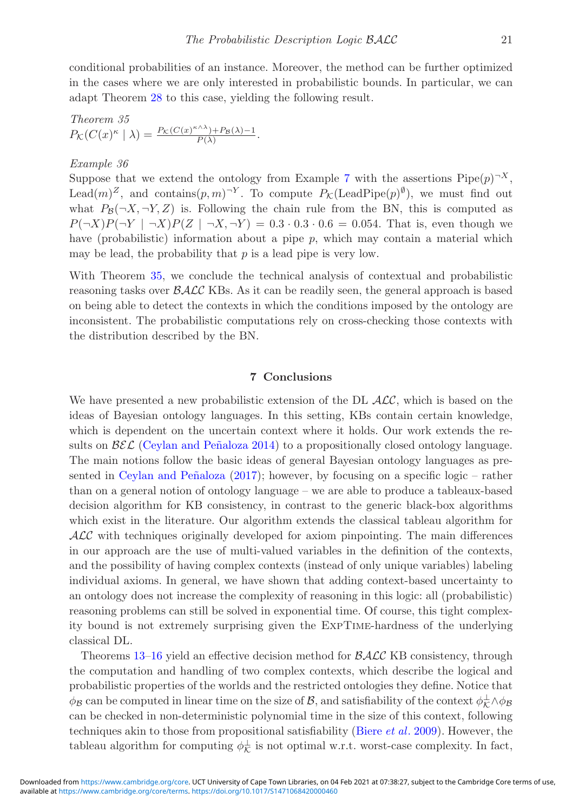conditional probabilities of an instance. Moreover, the method can be further optimized in the cases where we are only interested in probabilistic bounds. In particular, we can adapt Theorem [28](#page-17-1) to this case, yielding the following result.

<span id="page-20-0"></span>Theorem 35  

$$
P_{\mathcal{K}}(C(x)^{\kappa} \mid \lambda) = \frac{P_{\mathcal{K}}(C(x)^{\kappa \wedge \lambda}) + P_{\mathcal{B}}(\lambda) - 1}{P(\lambda)}.
$$

## *Example 36*

Suppose that we extend the ontology from Example [7](#page-6-0) with the assertions  $\text{Pipe}(p)^{-X}$ , Lead $(m)^Z$ , and contains $(p, m)^{-Y}$ . To compute  $P_K(\text{LeadPipe}(p)^{\emptyset})$ , we must find out what  $P_{\mathcal{B}}(\neg X, \neg Y, Z)$  is. Following the chain rule from the BN, this is computed as  $P(\neg X)P(\neg Y \mid \neg X)P(Z \mid \neg X, \neg Y) = 0.3 \cdot 0.3 \cdot 0.6 = 0.054$ . That is, even though we have (probabilistic) information about a pipe  $p$ , which may contain a material which may be lead, the probability that  $p$  is a lead pipe is very low.

With Theorem [35,](#page-20-0) we conclude the technical analysis of contextual and probabilistic reasoning tasks over  $\beta \mathcal{ALC}$  KBs. As it can be readily seen, the general approach is based on being able to detect the contexts in which the conditions imposed by the ontology are inconsistent. The probabilistic computations rely on cross-checking those contexts with the distribution described by the BN.

#### **7 Conclusions**

We have presented a new probabilistic extension of the DL  $ALC$ , which is based on the ideas of Bayesian ontology languages. In this setting, KBs contain certain knowledge, which is dependent on the uncertain context where it holds. Our work extends the results on  $\mathcal{B}\mathcal{E}\mathcal{L}$  (Ceylan and Peñaloza 2014) to a propositionally closed ontology language. The main notions follow the basic ideas of general Bayesian ontology languages as presented in Ceylan and Peñaloza  $(2017)$ ; however, by focusing on a specific logic – rather than on a general notion of ontology language – we are able to produce a tableaux-based decision algorithm for KB consistency, in contrast to the generic black-box algorithms which exist in the literature. Our algorithm extends the classical tableau algorithm for ALC with techniques originally developed for axiom pinpointing. The main differences in our approach are the use of multi-valued variables in the definition of the contexts, and the possibility of having complex contexts (instead of only unique variables) labeling individual axioms. In general, we have shown that adding context-based uncertainty to an ontology does not increase the complexity of reasoning in this logic: all (probabilistic) reasoning problems can still be solved in exponential time. Of course, this tight complexity bound is not extremely surprising given the ExpTime-hardness of the underlying classical DL.

Theorems [13](#page-9-0)[–16](#page-12-1) yield an effective decision method for  $\beta \mathcal{ALC}$  KB consistency, through the computation and handling of two complex contexts, which describe the logical and probabilistic properties of the worlds and the restricted ontologies they define. Notice that  $\phi_B$  can be computed in linear time on the size of  $\mathcal{B}$ , and satisfiability of the context  $\phi_K^{\perp} \wedge \phi_B$ can be checked in non-deterministic polynomial time in the size of this context, following techniques akin to those from propositional satisfiability [\(Biere](#page-22-14) *et al*. [2009\)](#page-22-14). However, the tableau algorithm for computing  $\phi_{\mathcal{K}}^{\perp}$  is not optimal w.r.t. worst-case complexity. In fact,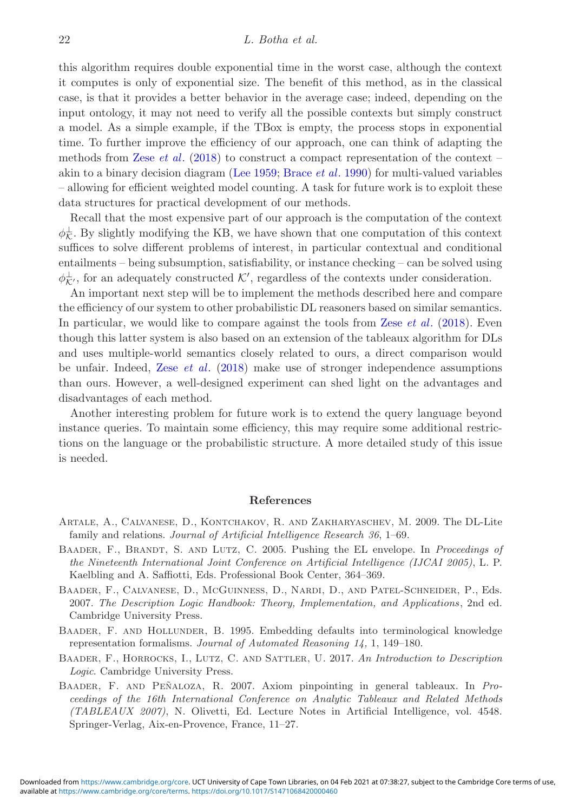this algorithm requires double exponential time in the worst case, although the context it computes is only of exponential size. The benefit of this method, as in the classical case, is that it provides a better behavior in the average case; indeed, depending on the input ontology, it may not need to verify all the possible contexts but simply construct a model. As a simple example, if the TBox is empty, the process stops in exponential time. To further improve the efficiency of our approach, one can think of adapting the methods from Zese *[et al](#page-23-7)*. [\(2018\)](#page-23-7) to construct a compact representation of the context – akin to a binary decision diagram [\(Lee 1959;](#page-22-15) [Brace](#page-22-16) *et al*. [1990\)](#page-22-16) for multi-valued variables – allowing for efficient weighted model counting. A task for future work is to exploit these data structures for practical development of our methods.

Recall that the most expensive part of our approach is the computation of the context  $\phi_{\mathcal{K}}^{\perp}$ . By slightly modifying the KB, we have shown that one computation of this context suffices to solve different problems of interest, in particular contextual and conditional entailments – being subsumption, satisfiability, or instance checking – can be solved using  $\phi_{\mathcal{K}}^{\perp}$ , for an adequately constructed  $\mathcal{K}'$ , regardless of the contexts under consideration.

An important next step will be to implement the methods described here and compare the efficiency of our system to other probabilistic DL reasoners based on similar semantics. In particular, we would like to compare against the tools from Zese *[et al](#page-23-7)*. [\(2018](#page-23-7)). Even though this latter system is also based on an extension of the tableaux algorithm for DLs and uses multiple-world semantics closely related to ours, a direct comparison would be unfair. Indeed, Zese *[et al](#page-23-7)*. [\(2018](#page-23-7)) make use of stronger independence assumptions than ours. However, a well-designed experiment can shed light on the advantages and disadvantages of each method.

Another interesting problem for future work is to extend the query language beyond instance queries. To maintain some efficiency, this may require some additional restrictions on the language or the probabilistic structure. A more detailed study of this issue is needed.

#### **References**

- <span id="page-21-2"></span>Artale, A., Calvanese, D., Kontchakov, R. and Zakharyaschev, M. 2009. The DL-Lite family and relations. *Journal of Artificial Intelligence Research 36*, 1–69.
- <span id="page-21-1"></span>Baader, F., Brandt, S. and Lutz, C. 2005. Pushing the EL envelope. In *Proceedings of the Nineteenth International Joint Conference on Artificial Intelligence (IJCAI 2005)*, L. P. Kaelbling and A. Saffiotti, Eds. Professional Book Center, 364–369.
- <span id="page-21-0"></span>Baader, F., Calvanese, D., McGuinness, D., Nardi, D., and Patel-Schneider, P., Eds. 2007. *The Description Logic Handbook: Theory, Implementation, and Applications*, 2nd ed. Cambridge University Press.
- <span id="page-21-4"></span>Baader, F. and Hollunder, B. 1995. Embedding defaults into terminological knowledge representation formalisms. *Journal of Automated Reasoning 14,* 1, 149–180.
- <span id="page-21-3"></span>Baader, F., Horrocks, I., Lutz, C. and Sattler, U. 2017. *An Introduction to Description Logic*. Cambridge University Press.
- <span id="page-21-5"></span>BAADER, F. AND PEÑALOZA, R. 2007. Axiom pinpointing in general tableaux. In *Proceedings of the 16th International Conference on Analytic Tableaux and Related Methods (TABLEAUX 2007)*, N. Olivetti, Ed. Lecture Notes in Artificial Intelligence, vol. 4548. Springer-Verlag, Aix-en-Provence, France, 11–27.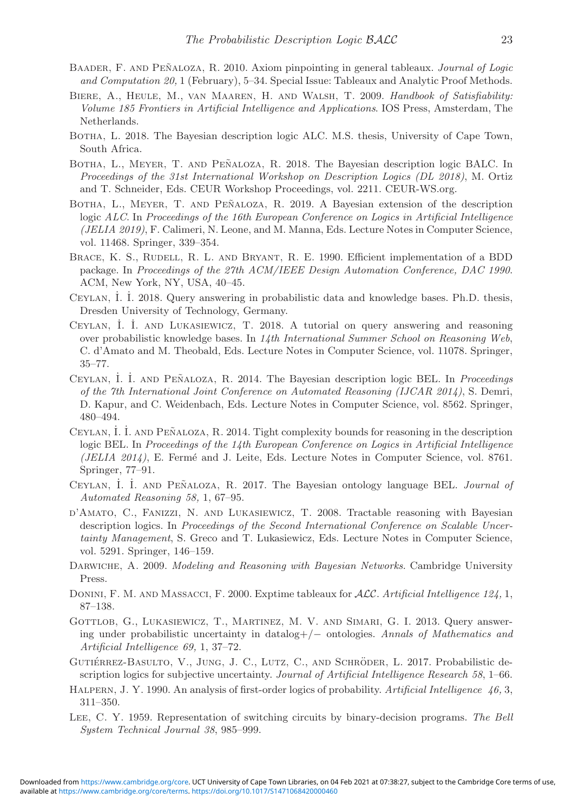- <span id="page-22-12"></span>BAADER, F. AND PEÑALOZA, R. 2010. Axiom pinpointing in general tableaux. *Journal of Logic and Computation 20,* 1 (February), 5–34. Special Issue: Tableaux and Analytic Proof Methods.
- <span id="page-22-14"></span>Biere, A., Heule, M., van Maaren, H. and Walsh, T. 2009. *Handbook of Satisfiability: Volume 185 Frontiers in Artificial Intelligence and Applications*. IOS Press, Amsterdam, The Netherlands.
- <span id="page-22-7"></span>Botha, L. 2018. The Bayesian description logic ALC. M.S. thesis, University of Cape Town, South Africa.
- <span id="page-22-8"></span>BOTHA, L., MEYER, T. AND PEÑALOZA, R. 2018. The Bayesian description logic BALC. In *Proceedings of the 31st International Workshop on Description Logics (DL 2018)*, M. Ortiz and T. Schneider, Eds. CEUR Workshop Proceedings, vol. 2211. CEUR-WS.org.
- <span id="page-22-9"></span>BOTHA, L., MEYER, T. AND PEÑALOZA, R. 2019. A Bayesian extension of the description logic *ALC*. In *Proceedings of the 16th European Conference on Logics in Artificial Intelligence (JELIA 2019)*, F. Calimeri, N. Leone, and M. Manna, Eds. Lecture Notes in Computer Science, vol. 11468. Springer, 339–354.
- <span id="page-22-16"></span>BRACE, K. S., RUDELL, R. L. AND BRYANT, R. E. 1990. Efficient implementation of a BDD package. In *Proceedings of the 27th ACM/IEEE Design Automation Conference, DAC 1990*. ACM, New York, NY, USA, 40–45.
- <span id="page-22-6"></span>CEYLAN, İ. İ. 2018. Query answering in probabilistic data and knowledge bases. Ph.D. thesis, Dresden University of Technology, Germany.
- <span id="page-22-0"></span>CEYLAN, İ. İ. AND LUKASIEWICZ, T. 2018. A tutorial on query answering and reasoning over probabilistic knowledge bases. In *14th International Summer School on Reasoning Web*, C. d'Amato and M. Theobald, Eds. Lecture Notes in Computer Science, vol. 11078. Springer, 35–77.
- <span id="page-22-13"></span>CEYLAN, İ. İ. AND PEÑALOZA, R. 2014. The Bayesian description logic BEL. In *Proceedings of the 7th International Joint Conference on Automated Reasoning (IJCAR 2014)*, S. Demri, D. Kapur, and C. Weidenbach, Eds. Lecture Notes in Computer Science, vol. 8562. Springer, 480–494.
- CEYLAN, İ. İ. AND PEÑALOZA, R. 2014. Tight complexity bounds for reasoning in the description logic BEL. In *Proceedings of the 14th European Conference on Logics in Artificial Intelligence (JELIA 2014)*, E. Ferm´e and J. Leite, Eds. Lecture Notes in Computer Science, vol. 8761. Springer, 77–91.
- <span id="page-22-2"></span>CEYLAN, İ. İ. AND PEÑALOZA, R. 2017. The Bayesian ontology language BEL. *Journal of Automated Reasoning 58,* 1, 67–95.
- <span id="page-22-4"></span>d'Amato, C., Fanizzi, N. and Lukasiewicz, T. 2008. Tractable reasoning with Bayesian description logics. In *Proceedings of the Second International Conference on Scalable Uncertainty Management*, S. Greco and T. Lukasiewicz, Eds. Lecture Notes in Computer Science, vol. 5291. Springer, 146–159.
- <span id="page-22-10"></span>Darwiche, A. 2009. *Modeling and Reasoning with Bayesian Networks*. Cambridge University Press.
- <span id="page-22-11"></span>Donini, F. M. and Massacci, F. 2000. Exptime tableaux for *ALC*. *Artificial Intelligence 124,* 1, 87–138.
- <span id="page-22-5"></span>GOTTLOB, G., LUKASIEWICZ, T., MARTINEZ, M. V. AND SIMARI, G. I. 2013. Query answering under probabilistic uncertainty in datalog+/*−* ontologies. *Annals of Mathematics and Artificial Intelligence 69,* 1, 37–72.
- <span id="page-22-1"></span>GUTIÉRREZ-BASULTO, V., JUNG, J. C., LUTZ, C., AND SCHRÖDER, L. 2017. Probabilistic description logics for subjective uncertainty. *Journal of Artificial Intelligence Research 58*, 1–66.
- <span id="page-22-3"></span>Halpern, J. Y. 1990. An analysis of first-order logics of probability. *Artificial Intelligence 46,* 3, 311–350.
- <span id="page-22-15"></span>Lee, C. Y. 1959. Representation of switching circuits by binary-decision programs. *The Bell System Technical Journal 38*, 985–999.